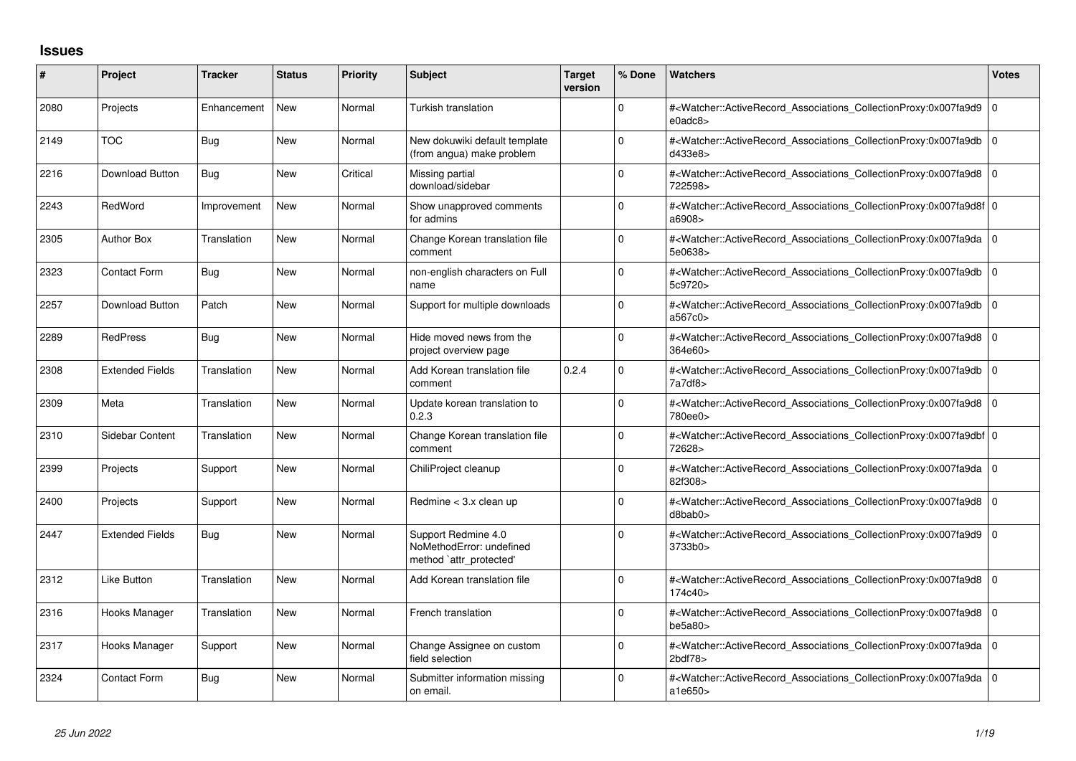## **Issues**

| #    | Project                | <b>Tracker</b> | <b>Status</b> | <b>Priority</b> | <b>Subject</b>                                                             | <b>Target</b><br>version | % Done       | <b>Watchers</b>                                                                                                                                                           | <b>Votes</b> |
|------|------------------------|----------------|---------------|-----------------|----------------------------------------------------------------------------|--------------------------|--------------|---------------------------------------------------------------------------------------------------------------------------------------------------------------------------|--------------|
| 2080 | Projects               | Enhancement    | <b>New</b>    | Normal          | Turkish translation                                                        |                          | $\Omega$     | # <watcher::activerecord_associations_collectionproxy:0x007fa9d9 0<br=""><math>e0</math>adc<math>8</math></watcher::activerecord_associations_collectionproxy:0x007fa9d9> |              |
| 2149 | <b>TOC</b>             | <b>Bug</b>     | <b>New</b>    | Normal          | New dokuwiki default template<br>(from angua) make problem                 |                          | $\Omega$     | # <watcher::activerecord 0<br="" associations="" collectionproxy:0x007fa9db=""  ="">d433e8&gt;</watcher::activerecord>                                                    |              |
| 2216 | <b>Download Button</b> | Bug            | <b>New</b>    | Critical        | Missing partial<br>download/sidebar                                        |                          | <sup>0</sup> | # <watcher::activerecord_associations_collectionproxy:0x007fa9d8 0<br=""  ="">722598&gt;</watcher::activerecord_associations_collectionproxy:0x007fa9d8>                  |              |
| 2243 | RedWord                | Improvement    | <b>New</b>    | Normal          | Show unapproved comments<br>for admins                                     |                          | $\Omega$     | # <watcher::activerecord 0<br="" associations="" collectionproxy:0x007fa9d8f=""  ="">a6908&gt;</watcher::activerecord>                                                    |              |
| 2305 | <b>Author Box</b>      | Translation    | <b>New</b>    | Normal          | Change Korean translation file<br>comment                                  |                          | $\Omega$     | # <watcher::activerecord_associations_collectionproxy:0x007fa9da 0<br=""  ="">5e0638&gt;</watcher::activerecord_associations_collectionproxy:0x007fa9da>                  |              |
| 2323 | <b>Contact Form</b>    | <b>Bug</b>     | <b>New</b>    | Normal          | non-english characters on Full<br>name                                     |                          | 0            | # <watcher::activerecord 0<br="" associations="" collectionproxy:0x007fa9db=""  ="">5c9720&gt;</watcher::activerecord>                                                    |              |
| 2257 | Download Button        | Patch          | <b>New</b>    | Normal          | Support for multiple downloads                                             |                          | 0            | # <watcher::activerecord 0<br="" associations="" collectionproxy:0x007fa9db=""  ="">a567c0&gt;</watcher::activerecord>                                                    |              |
| 2289 | <b>RedPress</b>        | Bug            | <b>New</b>    | Normal          | Hide moved news from the<br>project overview page                          |                          | $\Omega$     | # <watcher::activerecord_associations_collectionproxy:0x007fa9d8 0<br="">364e60&gt;</watcher::activerecord_associations_collectionproxy:0x007fa9d8>                       |              |
| 2308 | <b>Extended Fields</b> | Translation    | <b>New</b>    | Normal          | Add Korean translation file<br>comment                                     | 0.2.4                    | <sup>0</sup> | # <watcher::activerecord_associations_collectionproxy:0x007fa9db 0<br="">7a7df8</watcher::activerecord_associations_collectionproxy:0x007fa9db>                           |              |
| 2309 | Meta                   | Translation    | <b>New</b>    | Normal          | Update korean translation to<br>0.2.3                                      |                          | $\Omega$     | # <watcher::activerecord 0<br="" associations="" collectionproxy:0x007fa9d8=""  ="">780ee0&gt;</watcher::activerecord>                                                    |              |
| 2310 | Sidebar Content        | Translation    | <b>New</b>    | Normal          | Change Korean translation file<br>comment                                  |                          | $\Omega$     | # <watcher::activerecord 0<br="" associations="" collectionproxy:0x007fa9dbf=""  ="">72628&gt;</watcher::activerecord>                                                    |              |
| 2399 | Projects               | Support        | <b>New</b>    | Normal          | ChiliProject cleanup                                                       |                          | $\Omega$     | # <watcher::activerecord_associations_collectionproxy:0x007fa9da 0<br=""  ="">82f308&gt;</watcher::activerecord_associations_collectionproxy:0x007fa9da>                  |              |
| 2400 | Projects               | Support        | <b>New</b>    | Normal          | Redmine < 3.x clean up                                                     |                          | 0            | # <watcher::activerecord_associations_collectionproxy:0x007fa9d8<br>d8bab0&gt;</watcher::activerecord_associations_collectionproxy:0x007fa9d8<br>                         | ١o           |
| 2447 | <b>Extended Fields</b> | Bug            | <b>New</b>    | Normal          | Support Redmine 4.0<br>NoMethodError: undefined<br>method `attr_protected' |                          | 0            | # <watcher::activerecord_associations_collectionproxy:0x007fa9d9 0<br=""  ="">3733b0&gt;</watcher::activerecord_associations_collectionproxy:0x007fa9d9>                  |              |
| 2312 | Like Button            | Translation    | <b>New</b>    | Normal          | Add Korean translation file                                                |                          | $\Omega$     | # <watcher::activerecord 0<br="" associations="" collectionproxy:0x007fa9d8=""  ="">174c40&gt;</watcher::activerecord>                                                    |              |
| 2316 | Hooks Manager          | Translation    | <b>New</b>    | Normal          | French translation                                                         |                          | $\Omega$     | # <watcher::activerecord_associations_collectionproxy:0x007fa9d8 0<br="">be5a80&gt;</watcher::activerecord_associations_collectionproxy:0x007fa9d8>                       |              |
| 2317 | Hooks Manager          | Support        | <b>New</b>    | Normal          | Change Assignee on custom<br>field selection                               |                          | 0            | # <watcher::activerecord 0<br="" associations="" collectionproxy:0x007fa9da=""  =""><math>2</math>bdf<math>78</math></watcher::activerecord>                              |              |
| 2324 | <b>Contact Form</b>    | Bug            | <b>New</b>    | Normal          | Submitter information missing<br>on email.                                 |                          | 0            | # <watcher::activerecord_associations_collectionproxy:0x007fa9da 0<br="">a1e650&gt;</watcher::activerecord_associations_collectionproxy:0x007fa9da>                       |              |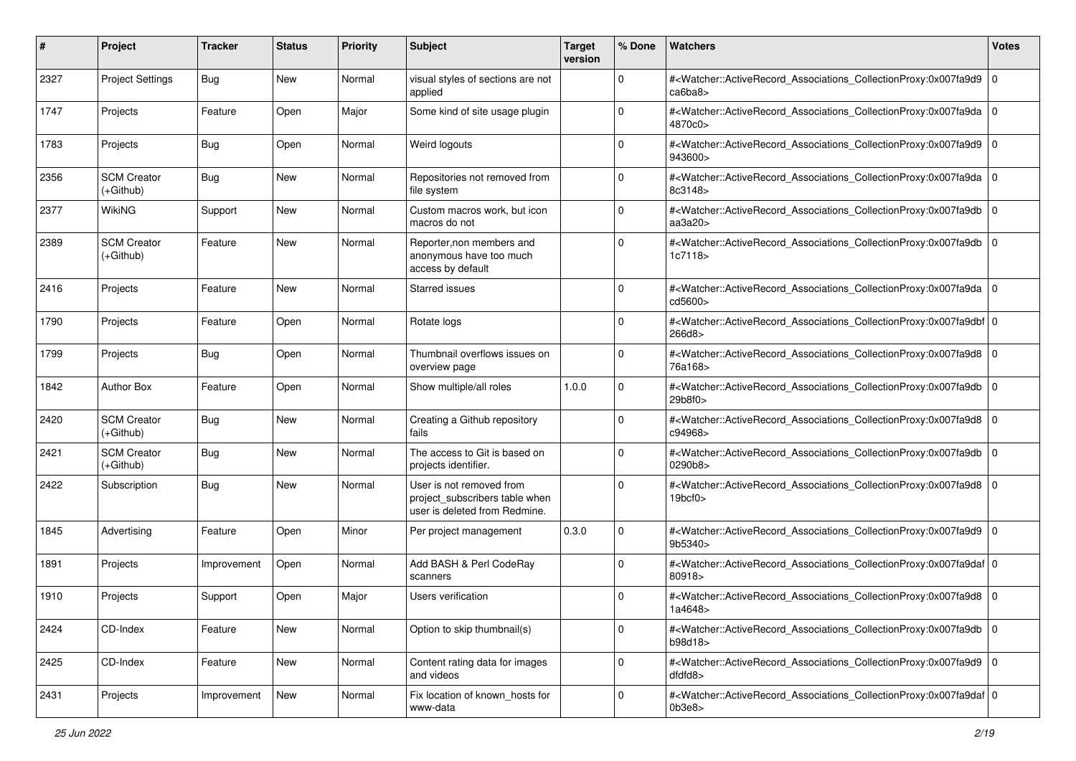| #    | Project                           | <b>Tracker</b> | <b>Status</b> | <b>Priority</b> | <b>Subject</b>                                                                              | <b>Target</b><br>version | % Done      | <b>Watchers</b>                                                                                                                                                 | <b>Votes</b> |
|------|-----------------------------------|----------------|---------------|-----------------|---------------------------------------------------------------------------------------------|--------------------------|-------------|-----------------------------------------------------------------------------------------------------------------------------------------------------------------|--------------|
| 2327 | <b>Project Settings</b>           | Bug            | <b>New</b>    | Normal          | visual styles of sections are not<br>applied                                                |                          | $\mathbf 0$ | # <watcher::activerecord_associations_collectionproxy:0x007fa9d9 0<br=""  ="">ca6ba8</watcher::activerecord_associations_collectionproxy:0x007fa9d9>            |              |
| 1747 | Projects                          | Feature        | Open          | Major           | Some kind of site usage plugin                                                              |                          | 0           | # <watcher::activerecord_associations_collectionproxy:0x007fa9da 0<br="">4870c0&gt;</watcher::activerecord_associations_collectionproxy:0x007fa9da>             |              |
| 1783 | Projects                          | <b>Bug</b>     | Open          | Normal          | Weird logouts                                                                               |                          | 0           | # <watcher::activerecord_associations_collectionproxy:0x007fa9d9 0<br="">943600&gt;</watcher::activerecord_associations_collectionproxy:0x007fa9d9>             |              |
| 2356 | <b>SCM Creator</b><br>$(+Github)$ | Bug            | <b>New</b>    | Normal          | Repositories not removed from<br>file system                                                |                          | $\mathbf 0$ | # <watcher::activerecord_associations_collectionproxy:0x007fa9da 0<br="">8c3148&gt;</watcher::activerecord_associations_collectionproxy:0x007fa9da>             |              |
| 2377 | WikiNG                            | Support        | <b>New</b>    | Normal          | Custom macros work, but icon<br>macros do not                                               |                          | 0           | # <watcher::activerecord_associations_collectionproxy:0x007fa9db 0<br=""  ="">aa3a20&gt;</watcher::activerecord_associations_collectionproxy:0x007fa9db>        |              |
| 2389 | <b>SCM Creator</b><br>(+Github)   | Feature        | <b>New</b>    | Normal          | Reporter, non members and<br>anonymous have too much<br>access by default                   |                          | 0           | # <watcher::activerecord_associations_collectionproxy:0x007fa9db 0<br=""  ="">1c7118&gt;</watcher::activerecord_associations_collectionproxy:0x007fa9db>        |              |
| 2416 | Projects                          | Feature        | <b>New</b>    | Normal          | <b>Starred issues</b>                                                                       |                          | 0           | # <watcher::activerecord_associations_collectionproxy:0x007fa9da 0<br="">cd5600&gt;</watcher::activerecord_associations_collectionproxy:0x007fa9da>             |              |
| 1790 | Projects                          | Feature        | Open          | Normal          | Rotate logs                                                                                 |                          | 0           | # <watcher::activerecord_associations_collectionproxy:0x007fa9dbf 0<br=""  ="">266d8&gt;</watcher::activerecord_associations_collectionproxy:0x007fa9dbf>       |              |
| 1799 | Projects                          | <b>Bug</b>     | Open          | Normal          | Thumbnail overflows issues on<br>overview page                                              |                          | 0           | # <watcher::activerecord_associations_collectionproxy:0x007fa9d8 0<br=""  ="">76a168&gt;</watcher::activerecord_associations_collectionproxy:0x007fa9d8>        |              |
| 1842 | <b>Author Box</b>                 | Feature        | Open          | Normal          | Show multiple/all roles                                                                     | 1.0.0                    | 0           | # <watcher::activerecord_associations_collectionproxy:0x007fa9db 0<br=""  ="">29b8f0&gt;</watcher::activerecord_associations_collectionproxy:0x007fa9db>        |              |
| 2420 | <b>SCM Creator</b><br>(+Github)   | Bug            | <b>New</b>    | Normal          | Creating a Github repository<br>fails                                                       |                          | 0           | # <watcher::activerecord_associations_collectionproxy:0x007fa9d8 0<br=""  ="">c94968&gt;</watcher::activerecord_associations_collectionproxy:0x007fa9d8>        |              |
| 2421 | <b>SCM Creator</b><br>(+Github)   | Bug            | <b>New</b>    | Normal          | The access to Git is based on<br>projects identifier.                                       |                          | $\mathbf 0$ | # <watcher::activerecord_associations_collectionproxy:0x007fa9db 0<br="">0290b8&gt;</watcher::activerecord_associations_collectionproxy:0x007fa9db>             |              |
| 2422 | Subscription                      | Bug            | <b>New</b>    | Normal          | User is not removed from<br>project subscribers table when<br>user is deleted from Redmine. |                          | 0           | # <watcher::activerecord_associations_collectionproxy:0x007fa9d8 0<br=""  ="">19<sub>bcf0</sub></watcher::activerecord_associations_collectionproxy:0x007fa9d8> |              |
| 1845 | Advertising                       | Feature        | Open          | Minor           | Per project management                                                                      | 0.3.0                    | $\mathbf 0$ | # <watcher::activerecord_associations_collectionproxy:0x007fa9d9 0<br=""  ="">9b5340&gt;</watcher::activerecord_associations_collectionproxy:0x007fa9d9>        |              |
| 1891 | Projects                          | Improvement    | Open          | Normal          | Add BASH & Perl CodeRay<br>scanners                                                         |                          | 0           | # <watcher::activerecord_associations_collectionproxy:0x007fa9daf 0<br="">80918&gt;</watcher::activerecord_associations_collectionproxy:0x007fa9daf>            |              |
| 1910 | Projects                          | Support        | Open          | Major           | <b>Users verification</b>                                                                   |                          | 0           | # <watcher::activerecord_associations_collectionproxy:0x007fa9d8 0<br="">1a4648&gt;</watcher::activerecord_associations_collectionproxy:0x007fa9d8>             |              |
| 2424 | CD-Index                          | Feature        | <b>New</b>    | Normal          | Option to skip thumbnail(s)                                                                 |                          | 0           | # <watcher::activerecord 0<br="" associations="" collectionproxy:0x007fa9db="">b98d18&gt;</watcher::activerecord>                                               |              |
| 2425 | CD-Index                          | Feature        | <b>New</b>    | Normal          | Content rating data for images<br>and videos                                                |                          | $\mathbf 0$ | # <watcher::activerecord_associations_collectionproxy:0x007fa9d9 0<br=""  ="">dfdfd8&gt;</watcher::activerecord_associations_collectionproxy:0x007fa9d9>        |              |
| 2431 | Projects                          | Improvement    | New           | Normal          | Fix location of known_hosts for<br>www-data                                                 |                          | 0           | # <watcher::activerecord 0<br="" associations="" collectionproxy:0x007fa9daf="">0b3e8</watcher::activerecord>                                                   |              |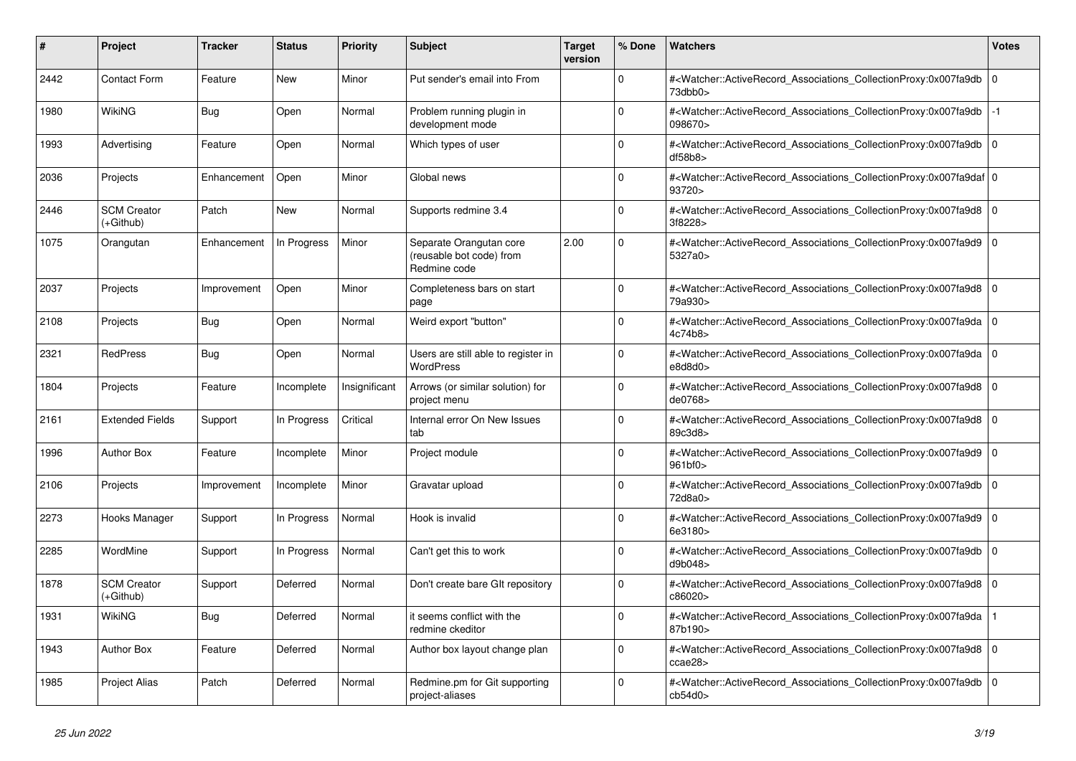| #    | <b>Project</b>                  | <b>Tracker</b> | <b>Status</b> | <b>Priority</b> | <b>Subject</b>                                                      | <b>Target</b><br>version | % Done         | <b>Watchers</b>                                                                                                                                           | Votes          |
|------|---------------------------------|----------------|---------------|-----------------|---------------------------------------------------------------------|--------------------------|----------------|-----------------------------------------------------------------------------------------------------------------------------------------------------------|----------------|
| 2442 | <b>Contact Form</b>             | Feature        | <b>New</b>    | Minor           | Put sender's email into From                                        |                          | $\Omega$       | # <watcher::activerecord_associations_collectionproxy:0x007fa9db<br>73dbb0&gt;</watcher::activerecord_associations_collectionproxy:0x007fa9db<br>         | 0              |
| 1980 | <b>WikiNG</b>                   | <b>Bug</b>     | Open          | Normal          | Problem running plugin in<br>development mode                       |                          | $\Omega$       | # <watcher::activerecord_associations_collectionproxy:0x007fa9db<br>098670&gt;</watcher::activerecord_associations_collectionproxy:0x007fa9db<br>         | $-1$           |
| 1993 | Advertising                     | Feature        | Open          | Normal          | Which types of user                                                 |                          | $\Omega$       | # <watcher::activerecord associations="" collectionproxy:0x007fa9db<br="">df58b8</watcher::activerecord>                                                  | l O            |
| 2036 | Projects                        | Enhancement    | Open          | Minor           | Global news                                                         |                          | $\Omega$       | # <watcher::activerecord_associations_collectionproxy:0x007fa9daf 0<br=""  ="">93720&gt;</watcher::activerecord_associations_collectionproxy:0x007fa9daf> |                |
| 2446 | <b>SCM Creator</b><br>(+Github) | Patch          | <b>New</b>    | Normal          | Supports redmine 3.4                                                |                          | $\Omega$       | # <watcher::activerecord associations="" collectionproxy:0x007fa9d8<br="">3f8228&gt;</watcher::activerecord>                                              | l O            |
| 1075 | Orangutan                       | Enhancement    | In Progress   | Minor           | Separate Orangutan core<br>(reusable bot code) from<br>Redmine code | 2.00                     | $\Omega$       | # <watcher::activerecord associations="" collectionproxy:0x007fa9d9<br="">5327a0&gt;</watcher::activerecord>                                              | l O            |
| 2037 | Projects                        | Improvement    | Open          | Minor           | Completeness bars on start<br>page                                  |                          | $\Omega$       | # <watcher::activerecord_associations_collectionproxy:0x007fa9d8<br>79a930&gt;</watcher::activerecord_associations_collectionproxy:0x007fa9d8<br>         | 0              |
| 2108 | Projects                        | <b>Bug</b>     | Open          | Normal          | Weird export "button"                                               |                          | $\Omega$       | # <watcher::activerecord_associations_collectionproxy:0x007fa9da<br>4c74b8&gt;</watcher::activerecord_associations_collectionproxy:0x007fa9da<br>         | l O            |
| 2321 | <b>RedPress</b>                 | Bug            | Open          | Normal          | Users are still able to register in<br><b>WordPress</b>             |                          | $\overline{0}$ | # <watcher::activerecord associations="" collectionproxy:0x007fa9da<br="">e8d8d0&gt;</watcher::activerecord>                                              | 0              |
| 1804 | Projects                        | Feature        | Incomplete    | Insignificant   | Arrows (or similar solution) for<br>project menu                    |                          | $\Omega$       | # <watcher::activerecord_associations_collectionproxy:0x007fa9d8<br>de0768&gt;</watcher::activerecord_associations_collectionproxy:0x007fa9d8<br>         | $\overline{0}$ |
| 2161 | <b>Extended Fields</b>          | Support        | In Progress   | Critical        | Internal error On New Issues<br>tab                                 |                          | $\Omega$       | # <watcher::activerecord associations="" collectionproxy:0x007fa9d8<br="">89c3d8&gt;</watcher::activerecord>                                              | $\overline{0}$ |
| 1996 | <b>Author Box</b>               | Feature        | Incomplete    | Minor           | Project module                                                      |                          | $\Omega$       | # <watcher::activerecord associations="" collectionproxy:0x007fa9d9<br="">961bf0&gt;</watcher::activerecord>                                              | 0              |
| 2106 | Projects                        | Improvement    | Incomplete    | Minor           | Gravatar upload                                                     |                          | $\Omega$       | # <watcher::activerecord_associations_collectionproxy:0x007fa9db<br>72d8a0&gt;</watcher::activerecord_associations_collectionproxy:0x007fa9db<br>         | $\overline{0}$ |
| 2273 | Hooks Manager                   | Support        | In Progress   | Normal          | Hook is invalid                                                     |                          | $\Omega$       | # <watcher::activerecord 0<br="" associations="" collectionproxy:0x007fa9d9=""  ="">6e3180&gt;</watcher::activerecord>                                    |                |
| 2285 | WordMine                        | Support        | In Progress   | Normal          | Can't get this to work                                              |                          | $\mathbf 0$    | # <watcher::activerecord associations="" collectionproxy:0x007fa9db<br="">d9b048&gt;</watcher::activerecord>                                              | 0              |
| 1878 | <b>SCM Creator</b><br>(+Github) | Support        | Deferred      | Normal          | Don't create bare GIt repository                                    |                          | $\Omega$       | # <watcher::activerecord_associations_collectionproxy:0x007fa9d8<br>c86020&gt;</watcher::activerecord_associations_collectionproxy:0x007fa9d8<br>         | ۱o             |
| 1931 | WikiNG                          | Bug            | Deferred      | Normal          | it seems conflict with the<br>redmine ckeditor                      |                          | $\Omega$       | # <watcher::activerecord associations="" collectionproxy:0x007fa9da<br="">87b190&gt;</watcher::activerecord>                                              |                |
| 1943 | <b>Author Box</b>               | Feature        | Deferred      | Normal          | Author box layout change plan                                       |                          | $\mathbf 0$    | # <watcher::activerecord_associations_collectionproxy:0x007fa9d8<br>ccae28&gt;</watcher::activerecord_associations_collectionproxy:0x007fa9d8<br>         | 0              |
| 1985 | <b>Project Alias</b>            | Patch          | Deferred      | Normal          | Redmine.pm for Git supporting<br>project-aliases                    |                          | $\Omega$       | # <watcher::activerecord_associations_collectionproxy:0x007fa9db<br>cb54d0&gt;</watcher::activerecord_associations_collectionproxy:0x007fa9db<br>         | 0              |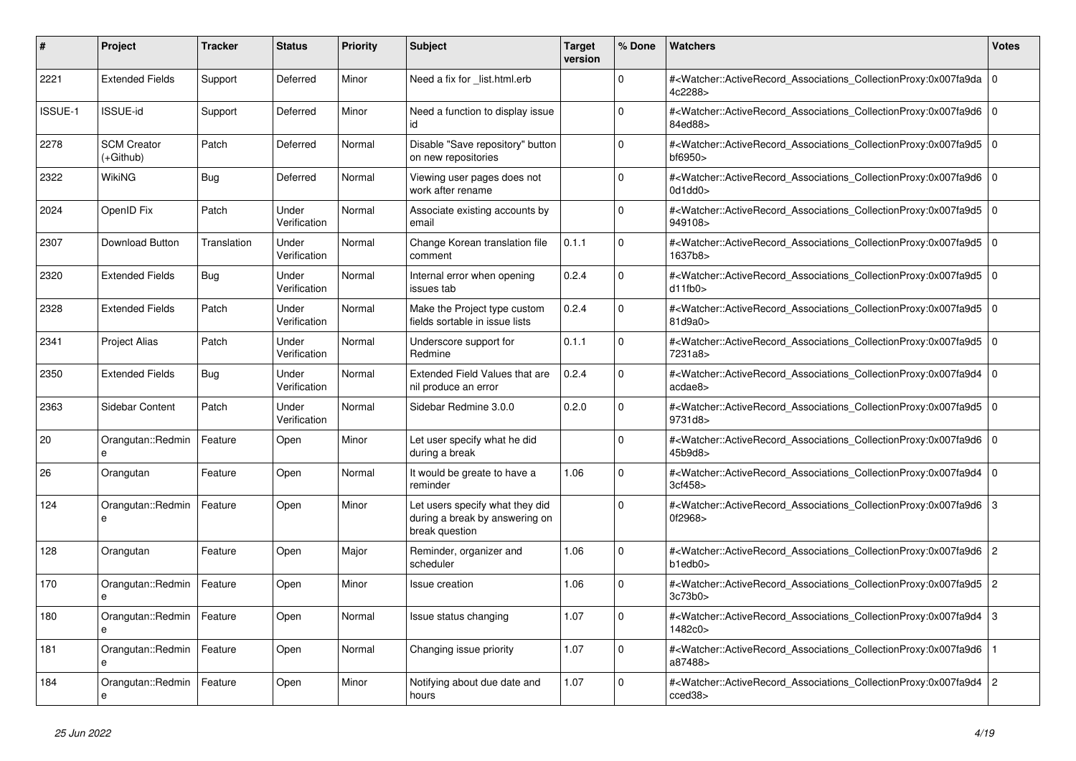| #              | <b>Project</b>                  | <b>Tracker</b> | <b>Status</b>         | <b>Priority</b> | <b>Subject</b>                                                                      | <b>Target</b><br>version | % Done         | <b>Watchers</b>                                                                                                                                                           | <b>Votes</b>   |
|----------------|---------------------------------|----------------|-----------------------|-----------------|-------------------------------------------------------------------------------------|--------------------------|----------------|---------------------------------------------------------------------------------------------------------------------------------------------------------------------------|----------------|
| 2221           | <b>Extended Fields</b>          | Support        | Deferred              | Minor           | Need a fix for _list.html.erb                                                       |                          | $\Omega$       | # <watcher::activerecord_associations_collectionproxy:0x007fa9da<br>4c2288&gt;</watcher::activerecord_associations_collectionproxy:0x007fa9da<br>                         | 0              |
| <b>ISSUE-1</b> | <b>ISSUE-id</b>                 | Support        | Deferred              | Minor           | Need a function to display issue<br>id                                              |                          | $\Omega$       | # <watcher::activerecord_associations_collectionproxy:0x007fa9d6 0<br=""  ="">84ed88&gt;</watcher::activerecord_associations_collectionproxy:0x007fa9d6>                  |                |
| 2278           | <b>SCM Creator</b><br>(+Github) | Patch          | Deferred              | Normal          | Disable "Save repository" button<br>on new repositories                             |                          | $\Omega$       | # <watcher::activerecord_associations_collectionproxy:0x007fa9d5 0<br=""  ="">bf6950&gt;</watcher::activerecord_associations_collectionproxy:0x007fa9d5>                  |                |
| 2322           | WikiNG                          | Bug            | Deferred              | Normal          | Viewing user pages does not<br>work after rename                                    |                          | $\Omega$       | # <watcher::activerecord_associations_collectionproxy:0x007fa9d6<br>0d1dd0</watcher::activerecord_associations_collectionproxy:0x007fa9d6<br>                             | l O            |
| 2024           | OpenID Fix                      | Patch          | Under<br>Verification | Normal          | Associate existing accounts by<br>email                                             |                          | $\Omega$       | # <watcher::activerecord_associations_collectionproxy:0x007fa9d5 0<br=""  ="">949108&gt;</watcher::activerecord_associations_collectionproxy:0x007fa9d5>                  |                |
| 2307           | Download Button                 | Translation    | Under<br>Verification | Normal          | Change Korean translation file<br>comment                                           | 0.1.1                    | $\Omega$       | # <watcher::activerecord_associations_collectionproxy:0x007fa9d5 0<br=""  ="">1637b8&gt;</watcher::activerecord_associations_collectionproxy:0x007fa9d5>                  |                |
| 2320           | <b>Extended Fields</b>          | Bug            | Under<br>Verification | Normal          | Internal error when opening<br>issues tab                                           | 0.2.4                    | $\Omega$       | # <watcher::activerecord_associations_collectionproxy:0x007fa9d5<br>d11fb0</watcher::activerecord_associations_collectionproxy:0x007fa9d5<br>                             | l o            |
| 2328           | <b>Extended Fields</b>          | Patch          | Under<br>Verification | Normal          | Make the Project type custom<br>fields sortable in issue lists                      | 0.2.4                    | $\mathbf 0$    | # <watcher::activerecord_associations_collectionproxy:0x007fa9d5 0<br=""  ="">81d9a0&gt;</watcher::activerecord_associations_collectionproxy:0x007fa9d5>                  |                |
| 2341           | <b>Project Alias</b>            | Patch          | Under<br>Verification | Normal          | Underscore support for<br>Redmine                                                   | 0.1.1                    | $\Omega$       | # <watcher::activerecord_associations_collectionproxy:0x007fa9d5 0<br=""  ="">7231a8&gt;</watcher::activerecord_associations_collectionproxy:0x007fa9d5>                  |                |
| 2350           | <b>Extended Fields</b>          | Bug            | Under<br>Verification | Normal          | <b>Extended Field Values that are</b><br>nil produce an error                       | 0.2.4                    | $\overline{0}$ | # <watcher::activerecord associations="" collectionproxy:0x007fa9d4<br="">acdae8&gt;</watcher::activerecord>                                                              | l 0            |
| 2363           | Sidebar Content                 | Patch          | Under<br>Verification | Normal          | Sidebar Redmine 3.0.0                                                               | 0.2.0                    | $\mathbf 0$    | # <watcher::activerecord_associations_collectionproxy:0x007fa9d5 0<br=""  ="">9731d8&gt;</watcher::activerecord_associations_collectionproxy:0x007fa9d5>                  |                |
| 20             | Orangutan::Redmin               | Feature        | Open                  | Minor           | Let user specify what he did<br>during a break                                      |                          | $\Omega$       | # <watcher::activerecord 0<br="" associations="" collectionproxy:0x007fa9d6=""  ="">45b9d8&gt;</watcher::activerecord>                                                    |                |
| 26             | Orangutan                       | Feature        | Open                  | Normal          | It would be greate to have a<br>reminder                                            | 1.06                     | $\overline{0}$ | # <watcher::activerecord_associations_collectionproxy:0x007fa9d4<br>3cf458&gt;</watcher::activerecord_associations_collectionproxy:0x007fa9d4<br>                         | l 0            |
| 124            | Orangutan::Redmin<br>e          | Feature        | Open                  | Minor           | Let users specify what they did<br>during a break by answering on<br>break question |                          | $\Omega$       | # <watcher::activerecord_associations_collectionproxy:0x007fa9d6 3<br="">0f2968&gt;</watcher::activerecord_associations_collectionproxy:0x007fa9d6>                       |                |
| 128            | Orangutan                       | Feature        | Open                  | Major           | Reminder, organizer and<br>scheduler                                                | 1.06                     | $\Omega$       | # <watcher::activerecord_associations_collectionproxy:0x007fa9d6 2<br=""><math>b1</math>ed<math>b0</math></watcher::activerecord_associations_collectionproxy:0x007fa9d6> |                |
| 170            | Orangutan::Redmin               | Feature        | Open                  | Minor           | Issue creation                                                                      | 1.06                     | $\mathbf 0$    | # <watcher::activerecord associations="" collectionproxy:0x007fa9d5<br="">3c73b0&gt;</watcher::activerecord>                                                              | $\overline{2}$ |
| 180            | Orangutan::Redmin               | Feature        | Open                  | Normal          | Issue status changing                                                               | 1.07                     | $\Omega$       | # <watcher::activerecord_associations_collectionproxy:0x007fa9d4<br>1482c0&gt;</watcher::activerecord_associations_collectionproxy:0x007fa9d4<br>                         | Iз             |
| 181            | Orangutan::Redmin<br>e          | Feature        | Open                  | Normal          | Changing issue priority                                                             | 1.07                     | $\Omega$       | # <watcher::activerecord associations="" collectionproxy:0x007fa9d6<br="">a87488&gt;</watcher::activerecord>                                                              |                |
| 184            | Orangutan::Redmin<br>e          | Feature        | Open                  | Minor           | Notifying about due date and<br>hours                                               | 1.07                     | $\Omega$       | # <watcher::activerecord_associations_collectionproxy:0x007fa9d4<br>cced38&gt;</watcher::activerecord_associations_collectionproxy:0x007fa9d4<br>                         | $\overline{2}$ |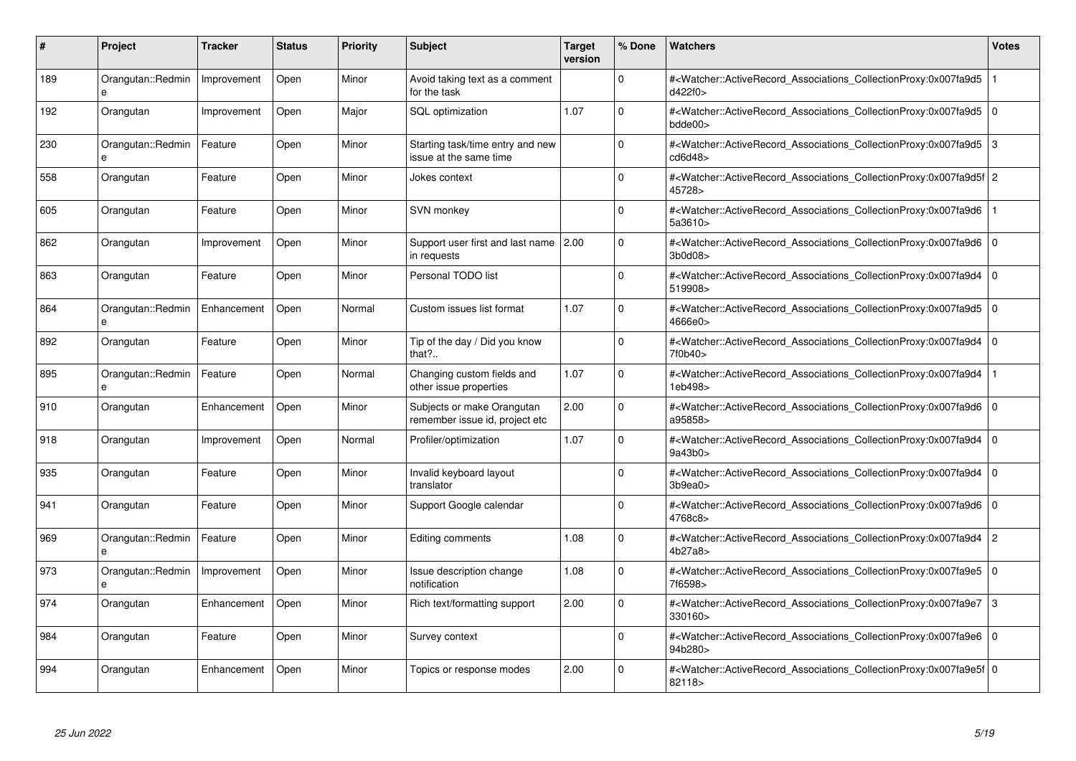| #   | Project                           | <b>Tracker</b> | <b>Status</b> | <b>Priority</b> | <b>Subject</b>                                               | <b>Target</b><br>version | % Done      | <b>Watchers</b>                                                                                                                                           | <b>Votes</b>   |
|-----|-----------------------------------|----------------|---------------|-----------------|--------------------------------------------------------------|--------------------------|-------------|-----------------------------------------------------------------------------------------------------------------------------------------------------------|----------------|
| 189 | Orangutan::Redmin                 | Improvement    | Open          | Minor           | Avoid taking text as a comment<br>for the task               |                          | $\Omega$    | # <watcher::activerecord_associations_collectionproxy:0x007fa9d5<br>d422f0&gt;</watcher::activerecord_associations_collectionproxy:0x007fa9d5<br>         |                |
| 192 | Orangutan                         | Improvement    | Open          | Major           | SQL optimization                                             | 1.07                     | $\Omega$    | # <watcher::activerecord 0<br="" associations="" collectionproxy:0x007fa9d5=""  ="">bdde00&gt;</watcher::activerecord>                                    |                |
| 230 | Orangutan::Redmin<br>e            | Feature        | Open          | Minor           | Starting task/time entry and new<br>issue at the same time   |                          | $\Omega$    | # <watcher::activerecord_associations_collectionproxy:0x007fa9d5<br>cd6d48&gt;</watcher::activerecord_associations_collectionproxy:0x007fa9d5<br>         | 3              |
| 558 | Orangutan                         | Feature        | Open          | Minor           | Jokes context                                                |                          | $\Omega$    | # <watcher::activerecord_associations_collectionproxy:0x007fa9d5f 2<br="">45728&gt;</watcher::activerecord_associations_collectionproxy:0x007fa9d5f>      |                |
| 605 | Orangutan                         | Feature        | Open          | Minor           | SVN monkey                                                   |                          | $\Omega$    | # <watcher::activerecord associations="" collectionproxy:0x007fa9d6<br="">5a3610&gt;</watcher::activerecord>                                              |                |
| 862 | Orangutan                         | Improvement    | Open          | Minor           | Support user first and last name  <br>in requests            | 2.00                     | $\Omega$    | # <watcher::activerecord 0<br="" associations="" collectionproxy:0x007fa9d6=""  ="">3b0d08&gt;</watcher::activerecord>                                    |                |
| 863 | Orangutan                         | Feature        | Open          | Minor           | Personal TODO list                                           |                          | $\Omega$    | # <watcher::activerecord_associations_collectionproxy:0x007fa9d4<br>519908&gt;</watcher::activerecord_associations_collectionproxy:0x007fa9d4<br>         | l o            |
| 864 | Orangutan::Redmin<br>$\mathbf{a}$ | Enhancement    | Open          | Normal          | Custom issues list format                                    | 1.07                     | $\Omega$    | # <watcher::activerecord_associations_collectionproxy:0x007fa9d5 0<br=""  ="">4666e0&gt;</watcher::activerecord_associations_collectionproxy:0x007fa9d5>  |                |
| 892 | Orangutan                         | Feature        | Open          | Minor           | Tip of the day / Did you know<br>that?                       |                          | $\Omega$    | # <watcher::activerecord associations="" collectionproxy:0x007fa9d4<br="">7f0b40&gt;</watcher::activerecord>                                              | $\overline{0}$ |
| 895 | Orangutan::Redmin<br>e            | Feature        | Open          | Normal          | Changing custom fields and<br>other issue properties         | 1.07                     | $\mathbf 0$ | # <watcher::activerecord associations="" collectionproxy:0x007fa9d4<br="">1eb498&gt;</watcher::activerecord>                                              |                |
| 910 | Orangutan                         | Enhancement    | Open          | Minor           | Subjects or make Orangutan<br>remember issue id, project etc | 2.00                     | $\Omega$    | # <watcher::activerecord_associations_collectionproxy:0x007fa9d6 0<br=""  ="">a95858&gt;</watcher::activerecord_associations_collectionproxy:0x007fa9d6>  |                |
| 918 | Orangutan                         | Improvement    | Open          | Normal          | Profiler/optimization                                        | 1.07                     | $\Omega$    | # <watcher::activerecord_associations_collectionproxy:0x007fa9d4 0<br=""  ="">9a43b0&gt;</watcher::activerecord_associations_collectionproxy:0x007fa9d4>  |                |
| 935 | Orangutan                         | Feature        | Open          | Minor           | Invalid keyboard layout<br>translator                        |                          | $\Omega$    | # <watcher::activerecord 0<br="" associations="" collectionproxy:0x007fa9d4=""  ="">3b9ea0</watcher::activerecord>                                        |                |
| 941 | Orangutan                         | Feature        | Open          | Minor           | Support Google calendar                                      |                          | $\mathbf 0$ | # <watcher::activerecord_associations_collectionproxy:0x007fa9d6 0<br=""  ="">4768c8&gt;</watcher::activerecord_associations_collectionproxy:0x007fa9d6>  |                |
| 969 | Orangutan::Redmin                 | Feature        | Open          | Minor           | Editing comments                                             | 1.08                     | $\Omega$    | # <watcher::activerecord_associations_collectionproxy:0x007fa9d4 2<br="">4b27a8&gt;</watcher::activerecord_associations_collectionproxy:0x007fa9d4>       |                |
| 973 | Orangutan::Redmin                 | Improvement    | Open          | Minor           | Issue description change<br>notification                     | 1.08                     | $\Omega$    | # <watcher::activerecord 0<br="" associations="" collectionproxy:0x007fa9e5=""  ="">7f6598&gt;</watcher::activerecord>                                    |                |
| 974 | Orangutan                         | Enhancement    | Open          | Minor           | Rich text/formatting support                                 | 2.00                     | $\Omega$    | # <watcher::activerecord 3<br="" associations="" collectionproxy:0x007fa9e7="">330160&gt;</watcher::activerecord>                                         |                |
| 984 | Orangutan                         | Feature        | Open          | Minor           | Survey context                                               |                          | $\Omega$    | # <watcher::activerecord 0<br="" associations="" collectionproxy:0x007fa9e6=""  ="">94b280&gt;</watcher::activerecord>                                    |                |
| 994 | Orangutan                         | Enhancement    | Open          | Minor           | Topics or response modes                                     | 2.00                     | $\Omega$    | # <watcher::activerecord_associations_collectionproxy:0x007fa9e5f 0<br=""  ="">82118&gt;</watcher::activerecord_associations_collectionproxy:0x007fa9e5f> |                |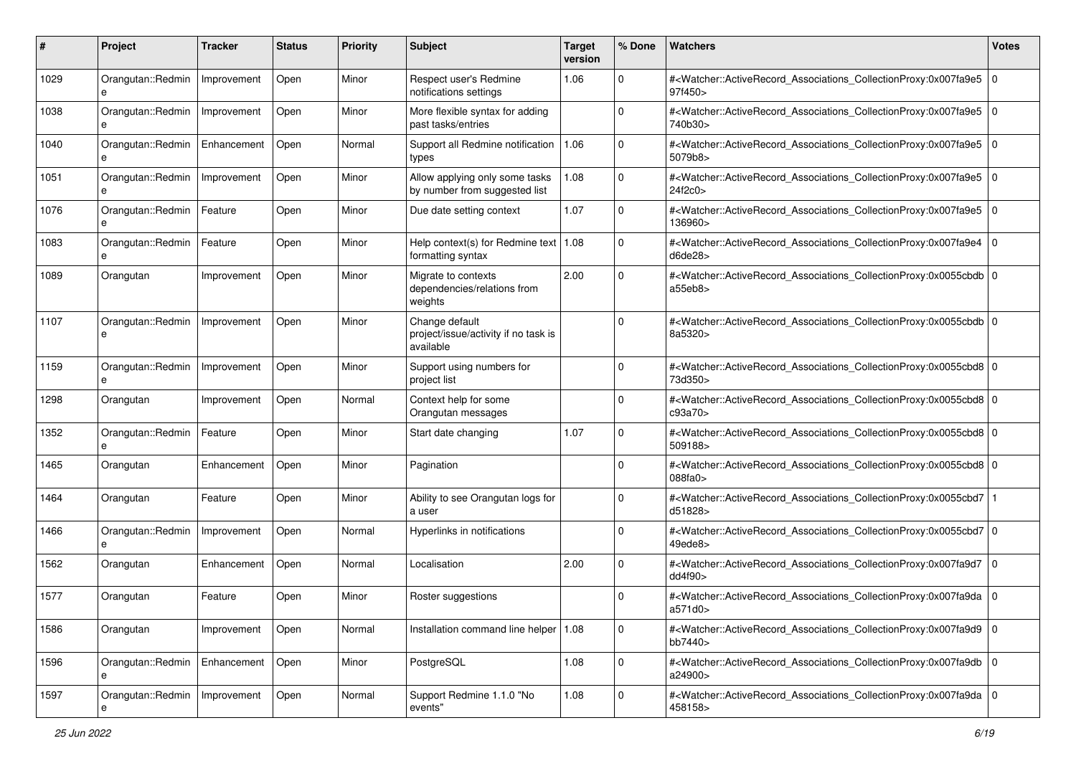| #    | Project                | <b>Tracker</b> | <b>Status</b> | <b>Priority</b> | <b>Subject</b>                                                      | <b>Target</b><br>version | % Done      | <b>Watchers</b>                                                                                                                                          | <b>Votes</b> |
|------|------------------------|----------------|---------------|-----------------|---------------------------------------------------------------------|--------------------------|-------------|----------------------------------------------------------------------------------------------------------------------------------------------------------|--------------|
| 1029 | Orangutan::Redmin<br>e | Improvement    | Open          | Minor           | Respect user's Redmine<br>notifications settings                    | 1.06                     | 0           | # <watcher::activerecord_associations_collectionproxy:0x007fa9e5<br>97f450&gt;</watcher::activerecord_associations_collectionproxy:0x007fa9e5<br>        | l O          |
| 1038 | Orangutan::Redmin      | Improvement    | Open          | Minor           | More flexible syntax for adding<br>past tasks/entries               |                          | $\Omega$    | # <watcher::activerecord_associations_collectionproxy:0x007fa9e5 0<br=""  ="">740b30&gt;</watcher::activerecord_associations_collectionproxy:0x007fa9e5> |              |
| 1040 | Orangutan::Redmin<br>e | Enhancement    | Open          | Normal          | Support all Redmine notification<br>types                           | 1.06                     | $\Omega$    | # <watcher::activerecord_associations_collectionproxy:0x007fa9e5 0<br=""  ="">5079b8&gt;</watcher::activerecord_associations_collectionproxy:0x007fa9e5> |              |
| 1051 | Orangutan::Redmin<br>e | Improvement    | Open          | Minor           | Allow applying only some tasks<br>by number from suggested list     | 1.08                     | $\mathbf 0$ | # <watcher::activerecord_associations_collectionproxy:0x007fa9e5<br>24f2c0&gt;</watcher::activerecord_associations_collectionproxy:0x007fa9e5<br>        | l O          |
| 1076 | Orangutan::Redmin<br>e | Feature        | Open          | Minor           | Due date setting context                                            | 1.07                     | $\mathbf 0$ | # <watcher::activerecord_associations_collectionproxy:0x007fa9e5 0<br=""  ="">136960&gt;</watcher::activerecord_associations_collectionproxy:0x007fa9e5> |              |
| 1083 | Orangutan::Redmin      | Feature        | Open          | Minor           | Help context(s) for Redmine text   1.08<br>formatting syntax        |                          | $\Omega$    | # <watcher::activerecord_associations_collectionproxy:0x007fa9e4<br>d6de28&gt;</watcher::activerecord_associations_collectionproxy:0x007fa9e4<br>        | $\mathbf 0$  |
| 1089 | Orangutan              | Improvement    | Open          | Minor           | Migrate to contexts<br>dependencies/relations from<br>weights       | 2.00                     | $\Omega$    | # <watcher::activerecord_associations_collectionproxy:0x0055cbdb 0<br="">a55eb8&gt;</watcher::activerecord_associations_collectionproxy:0x0055cbdb>      |              |
| 1107 | Orangutan::Redmin<br>e | Improvement    | Open          | Minor           | Change default<br>project/issue/activity if no task is<br>available |                          | $\Omega$    | # <watcher::activerecord_associations_collectionproxy:0x0055cbdb 0<br="">8a5320&gt;</watcher::activerecord_associations_collectionproxy:0x0055cbdb>      |              |
| 1159 | Orangutan::Redmin      | Improvement    | Open          | Minor           | Support using numbers for<br>project list                           |                          | 0           | # <watcher::activerecord_associations_collectionproxy:0x0055cbd8 0<br=""  ="">73d350&gt;</watcher::activerecord_associations_collectionproxy:0x0055cbd8> |              |
| 1298 | Orangutan              | Improvement    | Open          | Normal          | Context help for some<br>Orangutan messages                         |                          | $\Omega$    | # <watcher::activerecord_associations_collectionproxy:0x0055cbd8 0<br=""  ="">c93a70&gt;</watcher::activerecord_associations_collectionproxy:0x0055cbd8> |              |
| 1352 | Orangutan::Redmin<br>e | Feature        | Open          | Minor           | Start date changing                                                 | 1.07                     | $\mathbf 0$ | # <watcher::activerecord_associations_collectionproxy:0x0055cbd8 0<br="">509188&gt;</watcher::activerecord_associations_collectionproxy:0x0055cbd8>      |              |
| 1465 | Orangutan              | Enhancement    | Open          | Minor           | Pagination                                                          |                          | $\Omega$    | # <watcher::activerecord_associations_collectionproxy:0x0055cbd8 0<br=""  ="">088fa0&gt;</watcher::activerecord_associations_collectionproxy:0x0055cbd8> |              |
| 1464 | Orangutan              | Feature        | Open          | Minor           | Ability to see Orangutan logs for<br>a user                         |                          | 0           | # <watcher::activerecord_associations_collectionproxy:0x0055cbd7<br>d51828&gt;</watcher::activerecord_associations_collectionproxy:0x0055cbd7<br>        |              |
| 1466 | Orangutan::Redmin<br>e | Improvement    | Open          | Normal          | Hyperlinks in notifications                                         |                          | $\mathbf 0$ | # <watcher::activerecord_associations_collectionproxy:0x0055cbd7 0<br="">49ede8&gt;</watcher::activerecord_associations_collectionproxy:0x0055cbd7>      |              |
| 1562 | Orangutan              | Enhancement    | Open          | Normal          | Localisation                                                        | 2.00                     | 0           | # <watcher::activerecord_associations_collectionproxy:0x007fa9d7 0<br="">dd4f90&gt;</watcher::activerecord_associations_collectionproxy:0x007fa9d7>      |              |
| 1577 | Orangutan              | Feature        | Open          | Minor           | Roster suggestions                                                  |                          | 0           | # <watcher::activerecord_associations_collectionproxy:0x007fa9da 0<br="">a571d0&gt;</watcher::activerecord_associations_collectionproxy:0x007fa9da>      |              |
| 1586 | Orangutan              | Improvement    | Open          | Normal          | Installation command line helper   1.08                             |                          | $\mathbf 0$ | # <watcher::activerecord_associations_collectionproxy:0x007fa9d9 0<br=""  ="">bb7440&gt;</watcher::activerecord_associations_collectionproxy:0x007fa9d9> |              |
| 1596 | Orangutan::Redmin<br>e | Enhancement    | Open          | Minor           | PostgreSQL                                                          | 1.08                     | $\mathbf 0$ | # <watcher::activerecord_associations_collectionproxy:0x007fa9db 0<br="">a24900&gt;</watcher::activerecord_associations_collectionproxy:0x007fa9db>      |              |
| 1597 | Orangutan::Redmin      | Improvement    | Open          | Normal          | Support Redmine 1.1.0 "No<br>events"                                | 1.08                     | $\mathbf 0$ | # <watcher::activerecord_associations_collectionproxy:0x007fa9da 0<br="">458158&gt;</watcher::activerecord_associations_collectionproxy:0x007fa9da>      |              |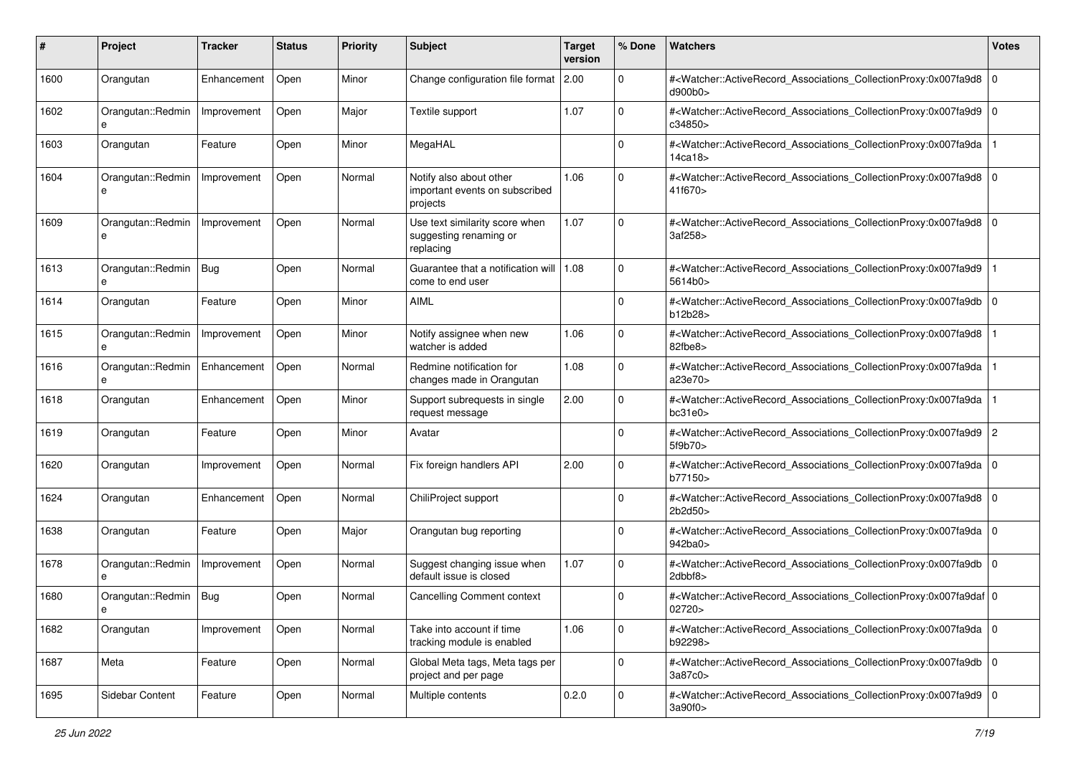| #    | Project                      | <b>Tracker</b> | <b>Status</b> | <b>Priority</b> | <b>Subject</b>                                                        | <b>Target</b><br>version | % Done      | <b>Watchers</b>                                                                                                                                           | <b>Votes</b> |
|------|------------------------------|----------------|---------------|-----------------|-----------------------------------------------------------------------|--------------------------|-------------|-----------------------------------------------------------------------------------------------------------------------------------------------------------|--------------|
| 1600 | Orangutan                    | Enhancement    | Open          | Minor           | Change configuration file format                                      | 2.00                     | 0           | # <watcher::activerecord_associations_collectionproxy:0x007fa9d8 0<br=""  ="">d900b0&gt;</watcher::activerecord_associations_collectionproxy:0x007fa9d8>  |              |
| 1602 | Orangutan::Redmin            | Improvement    | Open          | Major           | Textile support                                                       | 1.07                     | $\Omega$    | # <watcher::activerecord_associations_collectionproxy:0x007fa9d9 0<br=""  ="">c34850&gt;</watcher::activerecord_associations_collectionproxy:0x007fa9d9>  |              |
| 1603 | Orangutan                    | Feature        | Open          | Minor           | MegaHAL                                                               |                          | $\Omega$    | # <watcher::activerecord_associations_collectionproxy:0x007fa9da<br>14ca18&gt;</watcher::activerecord_associations_collectionproxy:0x007fa9da<br>         |              |
| 1604 | Orangutan::Redmin<br>e       | Improvement    | Open          | Normal          | Notify also about other<br>important events on subscribed<br>projects | 1.06                     | $\Omega$    | # <watcher::activerecord_associations_collectionproxy:0x007fa9d8<br>41f670&gt;</watcher::activerecord_associations_collectionproxy:0x007fa9d8<br>         | l O          |
| 1609 | Orangutan::Redmin<br>e       | Improvement    | Open          | Normal          | Use text similarity score when<br>suggesting renaming or<br>replacing | 1.07                     | $\mathbf 0$ | # <watcher::activerecord_associations_collectionproxy:0x007fa9d8 0<br="">3af258&gt;</watcher::activerecord_associations_collectionproxy:0x007fa9d8>       |              |
| 1613 | Orangutan::Redmin<br>e       | Bug            | Open          | Normal          | Guarantee that a notification will<br>come to end user                | 1.08                     | $\mathbf 0$ | # <watcher::activerecord_associations_collectionproxy:0x007fa9d9<br>5614b0&gt;</watcher::activerecord_associations_collectionproxy:0x007fa9d9<br>         |              |
| 1614 | Orangutan                    | Feature        | Open          | Minor           | <b>AIML</b>                                                           |                          | $\Omega$    | # <watcher::activerecord_associations_collectionproxy:0x007fa9db<br>b12b28&gt;</watcher::activerecord_associations_collectionproxy:0x007fa9db<br>         | l O          |
| 1615 | Orangutan::Redmin            | Improvement    | Open          | Minor           | Notify assignee when new<br>watcher is added                          | 1.06                     | $\Omega$    | # <watcher::activerecord_associations_collectionproxy:0x007fa9d8<br>82fbe8&gt;</watcher::activerecord_associations_collectionproxy:0x007fa9d8<br>         |              |
| 1616 | Orangutan::Redmin            | Enhancement    | Open          | Normal          | Redmine notification for<br>changes made in Orangutan                 | 1.08                     | 0           | # <watcher::activerecord_associations_collectionproxy:0x007fa9da<br>a23e70&gt;</watcher::activerecord_associations_collectionproxy:0x007fa9da<br>         |              |
| 1618 | Orangutan                    | Enhancement    | Open          | Minor           | Support subrequests in single<br>request message                      | 2.00                     | $\mathbf 0$ | # <watcher::activerecord_associations_collectionproxy:0x007fa9da<br>bc31e0</watcher::activerecord_associations_collectionproxy:0x007fa9da<br>             |              |
| 1619 | Orangutan                    | Feature        | Open          | Minor           | Avatar                                                                |                          | $\Omega$    | # <watcher::activerecord_associations_collectionproxy:0x007fa9d9 2<br="">5f9b70&gt;</watcher::activerecord_associations_collectionproxy:0x007fa9d9>       |              |
| 1620 | Orangutan                    | Improvement    | Open          | Normal          | Fix foreign handlers API                                              | 2.00                     | $\Omega$    | # <watcher::activerecord_associations_collectionproxy:0x007fa9da 0<br=""  ="">b77150&gt;</watcher::activerecord_associations_collectionproxy:0x007fa9da>  |              |
| 1624 | Orangutan                    | Enhancement    | Open          | Normal          | ChiliProject support                                                  |                          | $\Omega$    | # <watcher::activerecord_associations_collectionproxy:0x007fa9d8 0<br="">2b2d50&gt;</watcher::activerecord_associations_collectionproxy:0x007fa9d8>       |              |
| 1638 | Orangutan                    | Feature        | Open          | Major           | Orangutan bug reporting                                               |                          | $\mathbf 0$ | # <watcher::activerecord_associations_collectionproxy:0x007fa9da 0<br=""  ="">942ba0&gt;</watcher::activerecord_associations_collectionproxy:0x007fa9da>  |              |
| 1678 | Orangutan::Redmin            | Improvement    | Open          | Normal          | Suggest changing issue when<br>default issue is closed                | 1.07                     | $\Omega$    | # <watcher::activerecord_associations_collectionproxy:0x007fa9db<br>2dbbf8&gt;</watcher::activerecord_associations_collectionproxy:0x007fa9db<br>         | $\mathbf 0$  |
| 1680 | Orangutan::Redmin   Bug<br>е |                | Open          | Normal          | <b>Cancelling Comment context</b>                                     |                          | $\Omega$    | # <watcher::activerecord_associations_collectionproxy:0x007fa9daf 0<br=""  ="">02720&gt;</watcher::activerecord_associations_collectionproxy:0x007fa9daf> |              |
| 1682 | Orangutan                    | Improvement    | Open          | Normal          | Take into account if time<br>tracking module is enabled               | 1.06                     | $\mathbf 0$ | # <watcher::activerecord_associations_collectionproxy:0x007fa9da 0<br=""  ="">b92298&gt;</watcher::activerecord_associations_collectionproxy:0x007fa9da>  |              |
| 1687 | Meta                         | Feature        | Open          | Normal          | Global Meta tags, Meta tags per<br>project and per page               |                          | $\mathbf 0$ | # <watcher::activerecord_associations_collectionproxy:0x007fa9db 0<br="">3a87c0&gt;</watcher::activerecord_associations_collectionproxy:0x007fa9db>       |              |
| 1695 | Sidebar Content              | Feature        | Open          | Normal          | Multiple contents                                                     | 0.2.0                    | $\mathbf 0$ | # <watcher::activerecord_associations_collectionproxy:0x007fa9d9 0<br="">3a90f0&gt;</watcher::activerecord_associations_collectionproxy:0x007fa9d9>       |              |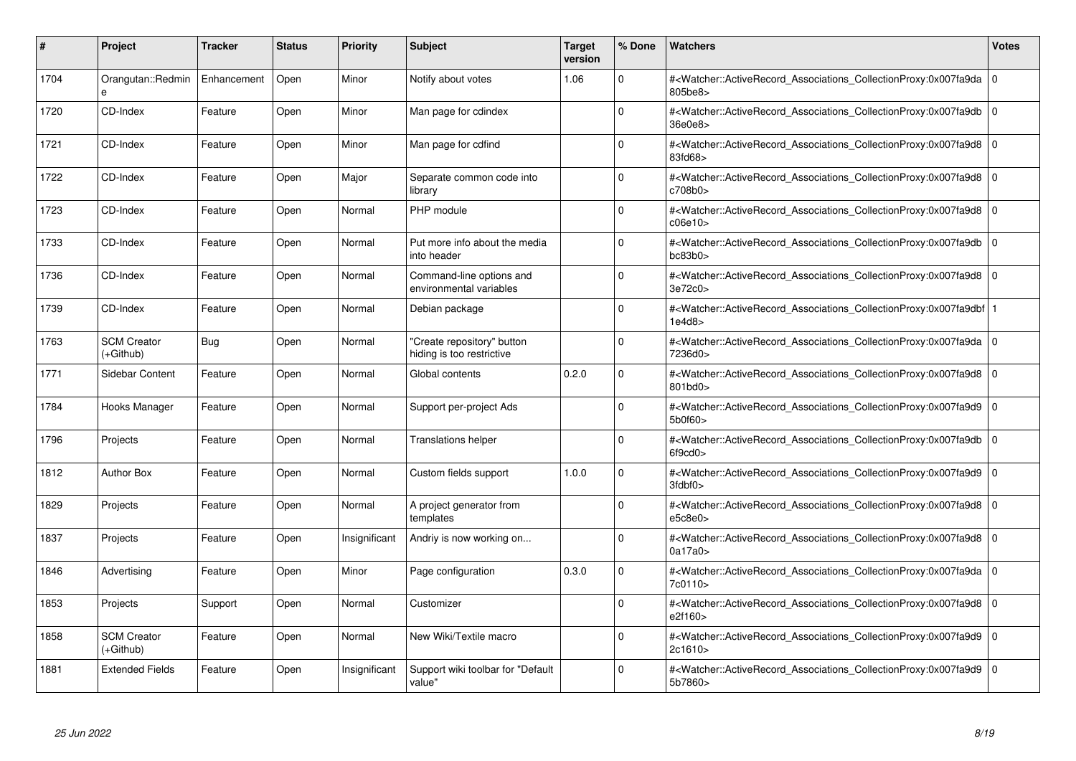| #    | Project                           | <b>Tracker</b> | <b>Status</b> | <b>Priority</b> | <b>Subject</b>                                          | <b>Target</b><br>version | % Done      | <b>Watchers</b>                                                                                                                                          | <b>Votes</b> |
|------|-----------------------------------|----------------|---------------|-----------------|---------------------------------------------------------|--------------------------|-------------|----------------------------------------------------------------------------------------------------------------------------------------------------------|--------------|
| 1704 | Orangutan::Redmin<br>$\mathbf{a}$ | Enhancement    | Open          | Minor           | Notify about votes                                      | 1.06                     | $\Omega$    | # <watcher::activerecord_associations_collectionproxy:0x007fa9da  <br="">805be8&gt;</watcher::activerecord_associations_collectionproxy:0x007fa9da>      | $\mathbf 0$  |
| 1720 | CD-Index                          | Feature        | Open          | Minor           | Man page for cdindex                                    |                          | $\Omega$    | # <watcher::activerecord 0<br="" associations="" collectionproxy:0x007fa9db=""  ="">36e0e8&gt;</watcher::activerecord>                                   |              |
| 1721 | CD-Index                          | Feature        | Open          | Minor           | Man page for cdfind                                     |                          | $\Omega$    | # <watcher::activerecord_associations_collectionproxy:0x007fa9d8<br>83fd68&gt;</watcher::activerecord_associations_collectionproxy:0x007fa9d8<br>        | $\mathbf 0$  |
| 1722 | CD-Index                          | Feature        | Open          | Major           | Separate common code into<br>library                    |                          | $\Omega$    | # <watcher::activerecord_associations_collectionproxy:0x007fa9d8 0<br=""  ="">c708b0&gt;</watcher::activerecord_associations_collectionproxy:0x007fa9d8> |              |
| 1723 | CD-Index                          | Feature        | Open          | Normal          | PHP module                                              |                          | $\Omega$    | # <watcher::activerecord associations="" collectionproxy:0x007fa9d8<br="">c06e10</watcher::activerecord>                                                 | $\mathbf 0$  |
| 1733 | CD-Index                          | Feature        | Open          | Normal          | Put more info about the media<br>into header            |                          | $\Omega$    | # <watcher::activerecord associations="" collectionproxy:0x007fa9db<br="">bc83b0<sub>&gt;</sub></watcher::activerecord>                                  | $\mathbf 0$  |
| 1736 | CD-Index                          | Feature        | Open          | Normal          | Command-line options and<br>environmental variables     |                          | $\Omega$    | # <watcher::activerecord_associations_collectionproxy:0x007fa9d8 0<br=""  ="">3e72c0&gt;</watcher::activerecord_associations_collectionproxy:0x007fa9d8> |              |
| 1739 | CD-Index                          | Feature        | Open          | Normal          | Debian package                                          |                          | $\Omega$    | # <watcher::activerecord_associations_collectionproxy:0x007fa9dbf  <br="">1e4d8</watcher::activerecord_associations_collectionproxy:0x007fa9dbf>         |              |
| 1763 | <b>SCM Creator</b><br>(+Github)   | Bug            | Open          | Normal          | "Create repository" button<br>hiding is too restrictive |                          | $\Omega$    | # <watcher::activerecord 0<br="" associations="" collectionproxy:0x007fa9da=""  ="">7236d0&gt;</watcher::activerecord>                                   |              |
| 1771 | Sidebar Content                   | Feature        | Open          | Normal          | Global contents                                         | 0.2.0                    | $\Omega$    | # <watcher::activerecord 0<br="" associations="" collectionproxy:0x007fa9d8=""  ="">801bd0&gt;</watcher::activerecord>                                   |              |
| 1784 | Hooks Manager                     | Feature        | Open          | Normal          | Support per-project Ads                                 |                          | $\Omega$    | # <watcher::activerecord_associations_collectionproxy:0x007fa9d9 0<br=""  ="">5b0f60&gt;</watcher::activerecord_associations_collectionproxy:0x007fa9d9> |              |
| 1796 | Projects                          | Feature        | Open          | Normal          | Translations helper                                     |                          | $\Omega$    | # <watcher::activerecord_associations_collectionproxy:0x007fa9db  <br="">6f9cd0&gt;</watcher::activerecord_associations_collectionproxy:0x007fa9db>      | $\mathbf 0$  |
| 1812 | <b>Author Box</b>                 | Feature        | Open          | Normal          | Custom fields support                                   | 1.0.0                    | $\Omega$    | # <watcher::activerecord 0<br="" associations="" collectionproxy:0x007fa9d9=""  ="">3fdbf0</watcher::activerecord>                                       |              |
| 1829 | Projects                          | Feature        | Open          | Normal          | A project generator from<br>templates                   |                          | $\mathbf 0$ | # <watcher::activerecord_associations_collectionproxy:0x007fa9d8<br>e5c8e0</watcher::activerecord_associations_collectionproxy:0x007fa9d8<br>            | $\mathbf 0$  |
| 1837 | Projects                          | Feature        | Open          | Insignificant   | Andriy is now working on                                |                          | $\Omega$    | # <watcher::activerecord 0<br="" associations="" collectionproxy:0x007fa9d8=""  ="">0a17a0&gt;</watcher::activerecord>                                   |              |
| 1846 | Advertising                       | Feature        | Open          | Minor           | Page configuration                                      | 0.3.0                    | $\Omega$    | # <watcher::activerecord 0<br="" associations="" collectionproxy:0x007fa9da=""  ="">7c0110&gt;</watcher::activerecord>                                   |              |
| 1853 | Projects                          | Support        | Open          | Normal          | Customizer                                              |                          | $\Omega$    | # <watcher::activerecord 0<br="" associations="" collectionproxy:0x007fa9d8=""  ="">e2f160&gt;</watcher::activerecord>                                   |              |
| 1858 | <b>SCM Creator</b><br>(+Github)   | Feature        | Open          | Normal          | New Wiki/Textile macro                                  |                          | $\Omega$    | # <watcher::activerecord_associations_collectionproxy:0x007fa9d9<br>2c1610&gt;</watcher::activerecord_associations_collectionproxy:0x007fa9d9<br>        | $\mathbf 0$  |
| 1881 | <b>Extended Fields</b>            | Feature        | Open          | Insignificant   | Support wiki toolbar for "Default<br>value"             |                          | $\Omega$    | # <watcher::activerecord_associations_collectionproxy:0x007fa9d9 0<br=""  ="">5b7860&gt;</watcher::activerecord_associations_collectionproxy:0x007fa9d9> |              |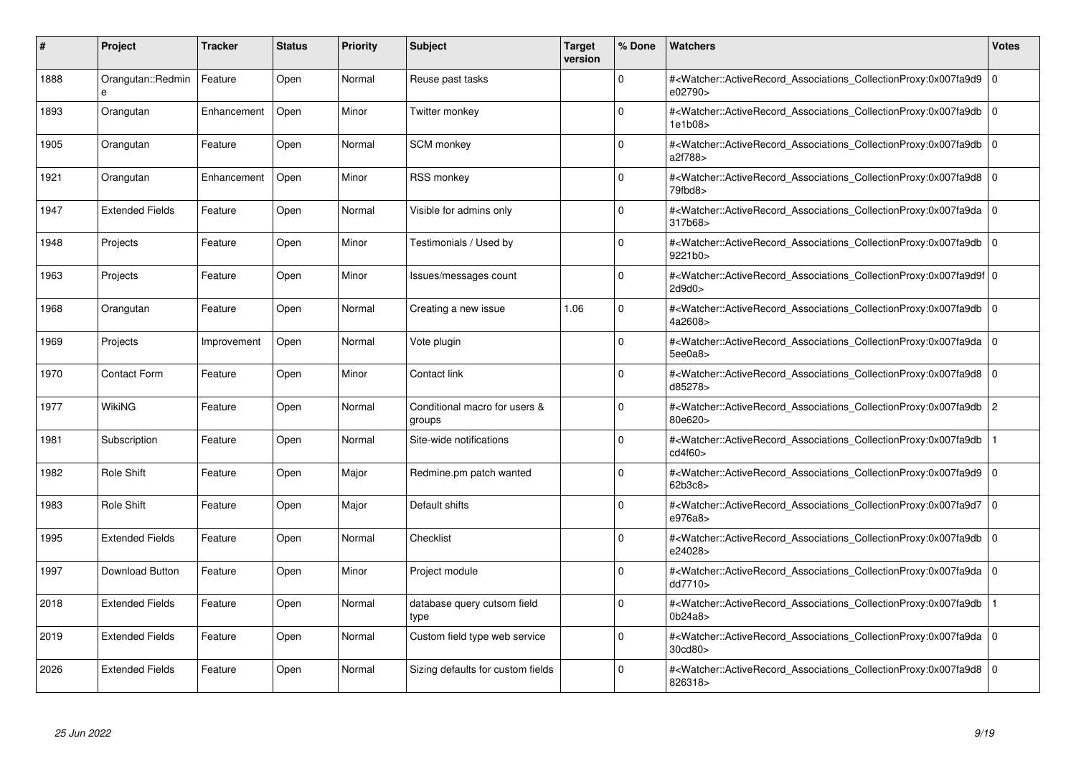| #    | Project                | <b>Tracker</b> | <b>Status</b> | <b>Priority</b> | <b>Subject</b>                          | <b>Target</b><br>version | % Done   | <b>Watchers</b>                                                                                                                                          | <b>Votes</b> |
|------|------------------------|----------------|---------------|-----------------|-----------------------------------------|--------------------------|----------|----------------------------------------------------------------------------------------------------------------------------------------------------------|--------------|
| 1888 | Orangutan::Redmin      | Feature        | Open          | Normal          | Reuse past tasks                        |                          | $\Omega$ | # <watcher::activerecord associations="" collectionproxy:0x007fa9d9<br="">e02790&gt;</watcher::activerecord>                                             | $\mathbf 0$  |
| 1893 | Orangutan              | Enhancement    | Open          | Minor           | Twitter monkey                          |                          | $\Omega$ | # <watcher::activerecord 0<br="" associations="" collectionproxy:0x007fa9db=""  ="">1e1b08&gt;</watcher::activerecord>                                   |              |
| 1905 | Orangutan              | Feature        | Open          | Normal          | <b>SCM</b> monkey                       |                          | $\Omega$ | # <watcher::activerecord_associations_collectionproxy:0x007fa9db<br>a2f788&gt;</watcher::activerecord_associations_collectionproxy:0x007fa9db<br>        | $\Omega$     |
| 1921 | Orangutan              | Enhancement    | Open          | Minor           | <b>RSS monkey</b>                       |                          | $\Omega$ | # <watcher::activerecord_associations_collectionproxy:0x007fa9d8 0<br="">79fbd8</watcher::activerecord_associations_collectionproxy:0x007fa9d8>          |              |
| 1947 | <b>Extended Fields</b> | Feature        | Open          | Normal          | Visible for admins only                 |                          | $\Omega$ | # <watcher::activerecord_associations_collectionproxy:0x007fa9da 0<br=""  ="">317b68&gt;</watcher::activerecord_associations_collectionproxy:0x007fa9da> |              |
| 1948 | Projects               | Feature        | Open          | Minor           | Testimonials / Used by                  |                          | $\Omega$ | # <watcher::activerecord_associations_collectionproxy:0x007fa9db  <br="">9221b0&gt;</watcher::activerecord_associations_collectionproxy:0x007fa9db>      | $\Omega$     |
| 1963 | Projects               | Feature        | Open          | Minor           | lssues/messages count                   |                          | $\Omega$ | # <watcher::activerecord 0<br="" associations="" collectionproxy:0x007fa9d9f=""  ="">2d9d0</watcher::activerecord>                                       |              |
| 1968 | Orangutan              | Feature        | Open          | Normal          | Creating a new issue                    | 1.06                     | $\Omega$ | # <watcher::activerecord_associations_collectionproxy:0x007fa9db 0<br=""  ="">4a2608&gt;</watcher::activerecord_associations_collectionproxy:0x007fa9db> |              |
| 1969 | Projects               | Improvement    | Open          | Normal          | Vote plugin                             |                          | $\Omega$ | # <watcher::activerecord 0<br="" associations="" collectionproxy:0x007fa9da="">5ee0a8&gt;</watcher::activerecord>                                        |              |
| 1970 | <b>Contact Form</b>    | Feature        | Open          | Minor           | Contact link                            |                          | $\Omega$ | # <watcher::activerecord 0<br="" associations="" collectionproxy:0x007fa9d8=""  ="">d85278&gt;</watcher::activerecord>                                   |              |
| 1977 | <b>WikiNG</b>          | Feature        | Open          | Normal          | Conditional macro for users &<br>groups |                          | $\Omega$ | # <watcher::activerecord associations="" collectionproxy:0x007fa9db<br="">80e620&gt;</watcher::activerecord>                                             | $\sqrt{2}$   |
| 1981 | Subscription           | Feature        | Open          | Normal          | Site-wide notifications                 |                          | $\Omega$ | # <watcher::activerecord associations="" collectionproxy:0x007fa9db<br="">cd4f60&gt;</watcher::activerecord>                                             |              |
| 1982 | Role Shift             | Feature        | Open          | Major           | Redmine.pm patch wanted                 |                          | $\Omega$ | # <watcher::activerecord associations="" collectionproxy:0x007fa9d9=""  <br="">62b3c8&gt;</watcher::activerecord>                                        | $\mathbf 0$  |
| 1983 | Role Shift             | Feature        | Open          | Major           | Default shifts                          |                          | $\Omega$ | # <watcher::activerecord_associations_collectionproxy:0x007fa9d7<br>e976a8&gt;</watcher::activerecord_associations_collectionproxy:0x007fa9d7<br>        | $\Omega$     |
| 1995 | <b>Extended Fields</b> | Feature        | Open          | Normal          | Checklist                               |                          | $\Omega$ | # <watcher::activerecord associations="" collectionproxy:0x007fa9db=""  <br="">e24028&gt;</watcher::activerecord>                                        | $\mathbf 0$  |
| 1997 | Download Button        | Feature        | Open          | Minor           | Project module                          |                          | $\Omega$ | # <watcher::activerecord_associations_collectionproxy:0x007fa9da 0<br=""  ="">dd7710&gt;</watcher::activerecord_associations_collectionproxy:0x007fa9da> |              |
| 2018 | <b>Extended Fields</b> | Feature        | Open          | Normal          | database query cutsom field<br>type     |                          | $\Omega$ | # <watcher::activerecord_associations_collectionproxy:0x007fa9db<br>0b24a8</watcher::activerecord_associations_collectionproxy:0x007fa9db<br>            |              |
| 2019 | <b>Extended Fields</b> | Feature        | Open          | Normal          | Custom field type web service           |                          | $\Omega$ | # <watcher::activerecord 0<br="" associations="" collectionproxy:0x007fa9da=""  ="">30cd80&gt;</watcher::activerecord>                                   |              |
| 2026 | <b>Extended Fields</b> | Feature        | Open          | Normal          | Sizing defaults for custom fields       |                          | $\Omega$ | # <watcher::activerecord_associations_collectionproxy:0x007fa9d8 0<br=""  ="">826318&gt;</watcher::activerecord_associations_collectionproxy:0x007fa9d8> |              |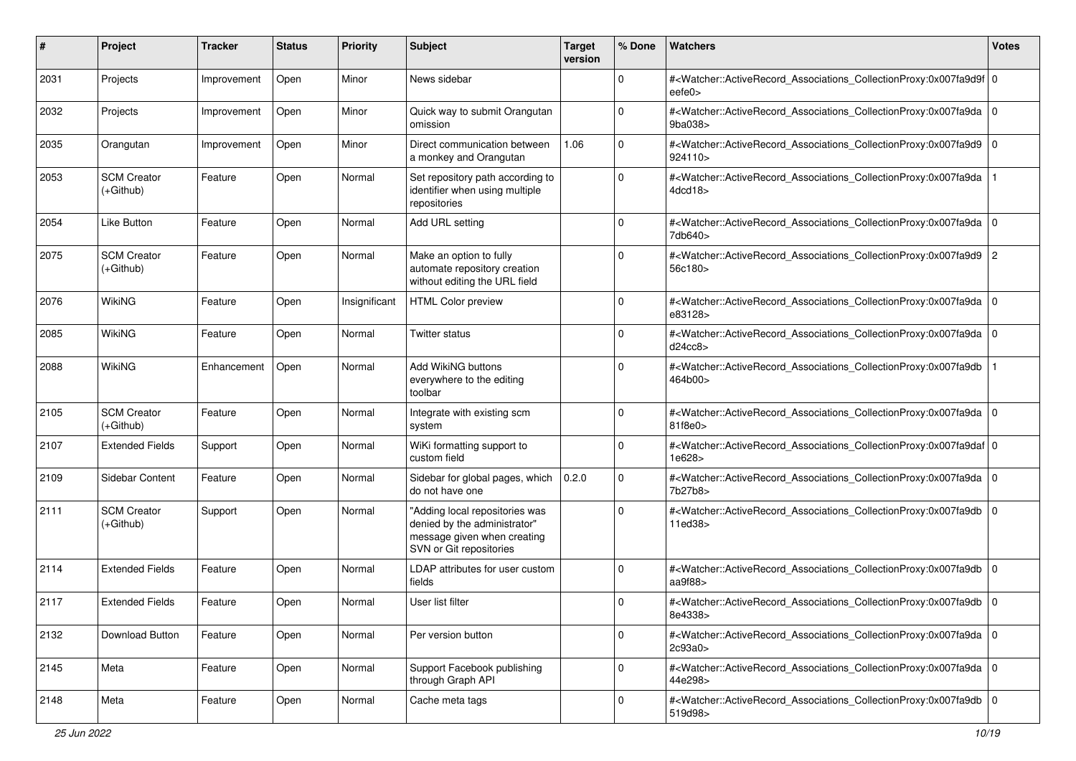| $\#$ | Project                           | <b>Tracker</b> | <b>Status</b> | <b>Priority</b> | <b>Subject</b>                                                                                                           | <b>Target</b><br>version | % Done      | Watchers                                                                                                                                                   | <b>Votes</b> |
|------|-----------------------------------|----------------|---------------|-----------------|--------------------------------------------------------------------------------------------------------------------------|--------------------------|-------------|------------------------------------------------------------------------------------------------------------------------------------------------------------|--------------|
| 2031 | Projects                          | Improvement    | Open          | Minor           | News sidebar                                                                                                             |                          | $\Omega$    | # <watcher::activerecord_associations_collectionproxy:0x007fa9d9f 0<br=""  ="">eefe0&gt;</watcher::activerecord_associations_collectionproxy:0x007fa9d9f>  |              |
| 2032 | Projects                          | Improvement    | Open          | Minor           | Quick way to submit Orangutan<br>omission                                                                                |                          | $\Omega$    | # <watcher::activerecord_associations_collectionproxy:0x007fa9da 0<br=""  ="">9ba038&gt;</watcher::activerecord_associations_collectionproxy:0x007fa9da>   |              |
| 2035 | Orangutan                         | Improvement    | Open          | Minor           | Direct communication between<br>a monkey and Orangutan                                                                   | 1.06                     | $\Omega$    | # <watcher::activerecord_associations_collectionproxy:0x007fa9d9 0<br=""  ="">924110&gt;</watcher::activerecord_associations_collectionproxy:0x007fa9d9>   |              |
| 2053 | <b>SCM Creator</b><br>(+Github)   | Feature        | Open          | Normal          | Set repository path according to<br>identifier when using multiple<br>repositories                                       |                          | $\mathbf 0$ | # <watcher::activerecord_associations_collectionproxy:0x007fa9da<br>4dcd18&gt;</watcher::activerecord_associations_collectionproxy:0x007fa9da<br>          |              |
| 2054 | Like Button                       | Feature        | Open          | Normal          | Add URL setting                                                                                                          |                          | 0           | # <watcher::activerecord_associations_collectionproxy:0x007fa9da<br>7db640&gt;</watcher::activerecord_associations_collectionproxy:0x007fa9da<br>          | l 0          |
| 2075 | <b>SCM Creator</b><br>$(+Github)$ | Feature        | Open          | Normal          | Make an option to fully<br>automate repository creation<br>without editing the URL field                                 |                          | 0           | # <watcher::activerecord_associations_collectionproxy:0x007fa9d9 2<br="">56c180&gt;</watcher::activerecord_associations_collectionproxy:0x007fa9d9>        |              |
| 2076 | WikiNG                            | Feature        | Open          | Insignificant   | <b>HTML Color preview</b>                                                                                                |                          | $\mathbf 0$ | # <watcher::activerecord_associations_collectionproxy:0x007fa9da 0<br=""  ="">e83128&gt;</watcher::activerecord_associations_collectionproxy:0x007fa9da>   |              |
| 2085 | <b>WikiNG</b>                     | Feature        | Open          | Normal          | Twitter status                                                                                                           |                          | $\Omega$    | # <watcher::activerecord_associations_collectionproxy:0x007fa9da 0<br=""  ="">d24cc8</watcher::activerecord_associations_collectionproxy:0x007fa9da>       |              |
| 2088 | <b>WikiNG</b>                     | Enhancement    | Open          | Normal          | Add WikiNG buttons<br>everywhere to the editing<br>toolbar                                                               |                          | O           | # <watcher::activerecord_associations_collectionproxy:0x007fa9db<br>464b00&gt;</watcher::activerecord_associations_collectionproxy:0x007fa9db<br>          |              |
| 2105 | <b>SCM Creator</b><br>$(+Github)$ | Feature        | Open          | Normal          | Integrate with existing scm<br>system                                                                                    |                          | $\Omega$    | # <watcher::activerecord_associations_collectionproxy:0x007fa9da 0<br=""  ="">81f8e0&gt;</watcher::activerecord_associations_collectionproxy:0x007fa9da>   |              |
| 2107 | <b>Extended Fields</b>            | Support        | Open          | Normal          | WiKi formatting support to<br>custom field                                                                               |                          | $\mathbf 0$ | # <watcher::activerecord_associations_collectionproxy:0x007fa9daf 0<br=""  ="">1e628&gt;</watcher::activerecord_associations_collectionproxy:0x007fa9daf>  |              |
| 2109 | Sidebar Content                   | Feature        | Open          | Normal          | Sidebar for global pages, which<br>do not have one                                                                       | 0.2.0                    | $\mathbf 0$ | # <watcher::activerecord_associations_collectionproxy:0x007fa9da 0<br=""  ="">7b27b8&gt;</watcher::activerecord_associations_collectionproxy:0x007fa9da>   |              |
| 2111 | <b>SCM Creator</b><br>$(+Github)$ | Support        | Open          | Normal          | "Adding local repositories was<br>denied by the administrator"<br>message given when creating<br>SVN or Git repositories |                          | $\Omega$    | # <watcher::activerecord_associations_collectionproxy:0x007fa9db<br>11ed38&gt;</watcher::activerecord_associations_collectionproxy:0x007fa9db<br>          | l O          |
| 2114 | <b>Extended Fields</b>            | Feature        | Open          | Normal          | LDAP attributes for user custom<br>fields                                                                                |                          | $\mathbf 0$ | # <watcher::activerecord_associations_collectionproxy:0x007fa9db<br>aa<math>9f88</math></watcher::activerecord_associations_collectionproxy:0x007fa9db<br> | l 0          |
| 2117 | <b>Extended Fields</b>            | Feature        | Open          | Normal          | User list filter                                                                                                         |                          | $\mathbf 0$ | # <watcher::activerecord_associations_collectionproxy:0x007fa9db<br>8e4338&gt;</watcher::activerecord_associations_collectionproxy:0x007fa9db<br>          | l O          |
| 2132 | Download Button                   | Feature        | Open          | Normal          | Per version button                                                                                                       |                          | $\mathbf 0$ | # <watcher::activerecord_associations_collectionproxy:0x007fa9da 0<br=""  ="">2c93a0&gt;</watcher::activerecord_associations_collectionproxy:0x007fa9da>   |              |
| 2145 | Meta                              | Feature        | Open          | Normal          | Support Facebook publishing<br>through Graph API                                                                         |                          | 0           | # <watcher::activerecord_associations_collectionproxy:0x007fa9da 0<br="">44e298&gt;</watcher::activerecord_associations_collectionproxy:0x007fa9da>        |              |
| 2148 | Meta                              | Feature        | Open          | Normal          | Cache meta tags                                                                                                          |                          | 0           | # <watcher::activerecord_associations_collectionproxy:0x007fa9db 0<br=""  ="">519d98&gt;</watcher::activerecord_associations_collectionproxy:0x007fa9db>   |              |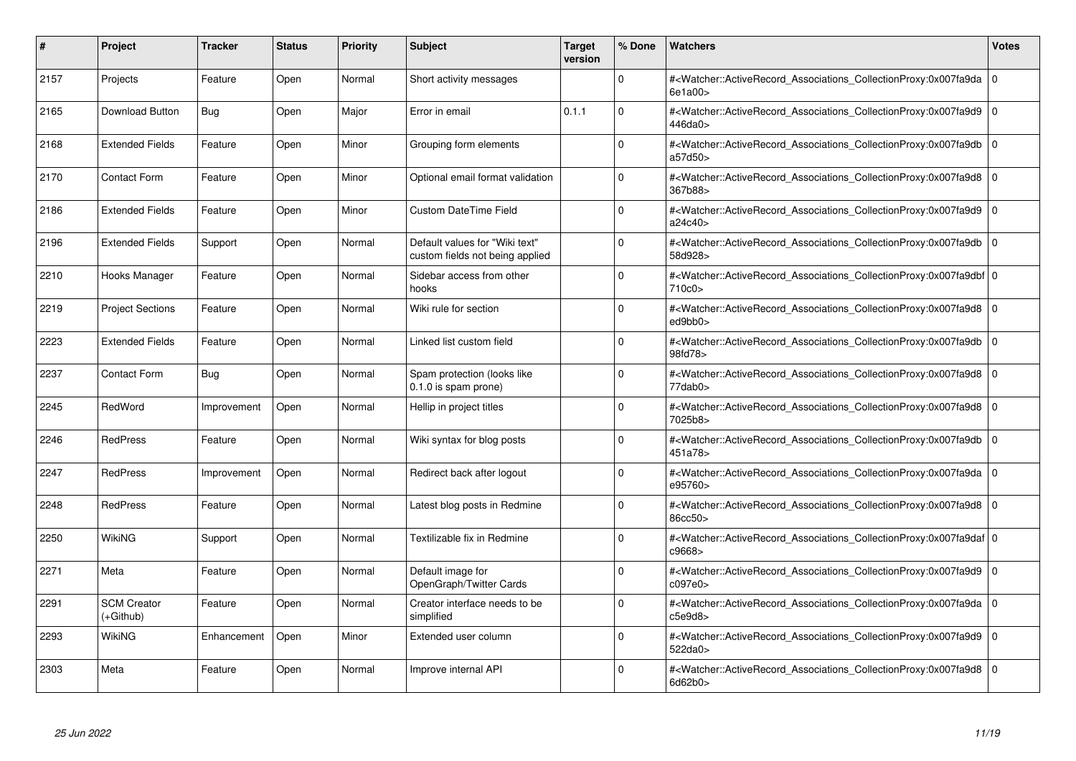| #    | <b>Project</b>                  | <b>Tracker</b> | <b>Status</b> | <b>Priority</b> | <b>Subject</b>                                                    | <b>Target</b><br>version | % Done   | <b>Watchers</b>                                                                                                                                          | <b>Votes</b> |
|------|---------------------------------|----------------|---------------|-----------------|-------------------------------------------------------------------|--------------------------|----------|----------------------------------------------------------------------------------------------------------------------------------------------------------|--------------|
| 2157 | Projects                        | Feature        | Open          | Normal          | Short activity messages                                           |                          | $\Omega$ | # <watcher::activerecord associations="" collectionproxy:0x007fa9da=""  <br="">6e1a00&gt;</watcher::activerecord>                                        | $\mathbf 0$  |
| 2165 | Download Button                 | <b>Bug</b>     | Open          | Major           | Error in email                                                    | 0.1.1                    | $\Omega$ | # <watcher::activerecord associations="" collectionproxy:0x007fa9d9=""  <br="">446da0&gt;</watcher::activerecord>                                        | $\mathbf 0$  |
| 2168 | <b>Extended Fields</b>          | Feature        | Open          | Minor           | Grouping form elements                                            |                          | $\Omega$ | # <watcher::activerecord_associations_collectionproxy:0x007fa9db<br>a57d50&gt;</watcher::activerecord_associations_collectionproxy:0x007fa9db<br>        | $\Omega$     |
| 2170 | <b>Contact Form</b>             | Feature        | Open          | Minor           | Optional email format validation                                  |                          | $\Omega$ | # <watcher::activerecord_associations_collectionproxy:0x007fa9d8 0<br="">367b88&gt;</watcher::activerecord_associations_collectionproxy:0x007fa9d8>      |              |
| 2186 | <b>Extended Fields</b>          | Feature        | Open          | Minor           | <b>Custom DateTime Field</b>                                      |                          | $\Omega$ | # <watcher::activerecord_associations_collectionproxy:0x007fa9d9<br>a24c40&gt;</watcher::activerecord_associations_collectionproxy:0x007fa9d9<br>        | $\mathbf 0$  |
| 2196 | <b>Extended Fields</b>          | Support        | Open          | Normal          | Default values for "Wiki text"<br>custom fields not being applied |                          | $\Omega$ | # <watcher::activerecord_associations_collectionproxy:0x007fa9db 0<br=""  ="">58d928&gt;</watcher::activerecord_associations_collectionproxy:0x007fa9db> |              |
| 2210 | Hooks Manager                   | Feature        | Open          | Normal          | Sidebar access from other<br>hooks                                |                          | $\Omega$ | # <watcher::activerecord 0<br="" associations="" collectionproxy:0x007fa9dbf=""  ="">710c0</watcher::activerecord>                                       |              |
| 2219 | <b>Project Sections</b>         | Feature        | Open          | Normal          | Wiki rule for section                                             |                          | $\Omega$ | # <watcher::activerecord_associations_collectionproxy:0x007fa9d8 0<br=""  ="">ed9bb0&gt;</watcher::activerecord_associations_collectionproxy:0x007fa9d8> |              |
| 2223 | <b>Extended Fields</b>          | Feature        | Open          | Normal          | Linked list custom field                                          |                          | $\Omega$ | # <watcher::activerecord associations="" collectionproxy:0x007fa9db<br="">98fd78&gt;</watcher::activerecord>                                             | $\mathbf 0$  |
| 2237 | <b>Contact Form</b>             | Bug            | Open          | Normal          | Spam protection (looks like<br>0.1.0 is spam prone)               |                          | $\Omega$ | # <watcher::activerecord associations="" collectionproxy:0x007fa9d8=""  <br="">77dab0&gt;</watcher::activerecord>                                        | $\mathbf 0$  |
| 2245 | RedWord                         | Improvement    | Open          | Normal          | Hellip in project titles                                          |                          | $\Omega$ | # <watcher::activerecord_associations_collectionproxy:0x007fa9d8 0<br=""  ="">7025b8&gt;</watcher::activerecord_associations_collectionproxy:0x007fa9d8> |              |
| 2246 | <b>RedPress</b>                 | Feature        | Open          | Normal          | Wiki syntax for blog posts                                        |                          | $\Omega$ | # <watcher::activerecord associations="" collectionproxy:0x007fa9db=""  <br="">451a78&gt;</watcher::activerecord>                                        | $\mathbf 0$  |
| 2247 | <b>RedPress</b>                 | Improvement    | Open          | Normal          | Redirect back after logout                                        |                          | $\Omega$ | # <watcher::activerecord 0<br="" associations="" collectionproxy:0x007fa9da=""  ="">e95760&gt;</watcher::activerecord>                                   |              |
| 2248 | <b>RedPress</b>                 | Feature        | Open          | Normal          | Latest blog posts in Redmine                                      |                          | $\Omega$ | # <watcher::activerecord_associations_collectionproxy:0x007fa9d8  <br="">86cc50&gt;</watcher::activerecord_associations_collectionproxy:0x007fa9d8>      | $\Omega$     |
| 2250 | WikiNG                          | Support        | Open          | Normal          | Textilizable fix in Redmine                                       |                          | $\Omega$ | # <watcher::activerecord 0<br="" associations="" collectionproxy:0x007fa9daf=""  ="">c9668&gt;</watcher::activerecord>                                   |              |
| 2271 | Meta                            | Feature        | Open          | Normal          | Default image for<br>OpenGraph/Twitter Cards                      |                          | $\Omega$ | # <watcher::activerecord_associations_collectionproxy:0x007fa9d9  <br="">c097e0&gt;</watcher::activerecord_associations_collectionproxy:0x007fa9d9>      | $\mathbf 0$  |
| 2291 | <b>SCM Creator</b><br>(+Github) | Feature        | Open          | Normal          | Creator interface needs to be<br>simplified                       |                          | $\Omega$ | # <watcher::activerecord_associations_collectionproxy:0x007fa9da 0<br=""  ="">c5e9d8&gt;</watcher::activerecord_associations_collectionproxy:0x007fa9da> |              |
| 2293 | WikiNG                          | Enhancement    | Open          | Minor           | Extended user column                                              |                          | $\Omega$ | # <watcher::activerecord associations="" collectionproxy:0x007fa9d9<br="">522da0&gt;</watcher::activerecord>                                             | $\mathbf 0$  |
| 2303 | Meta                            | Feature        | Open          | Normal          | Improve internal API                                              |                          | $\Omega$ | # <watcher::activerecord_associations_collectionproxy:0x007fa9d8 0<br=""  ="">6d62b0&gt;</watcher::activerecord_associations_collectionproxy:0x007fa9d8> |              |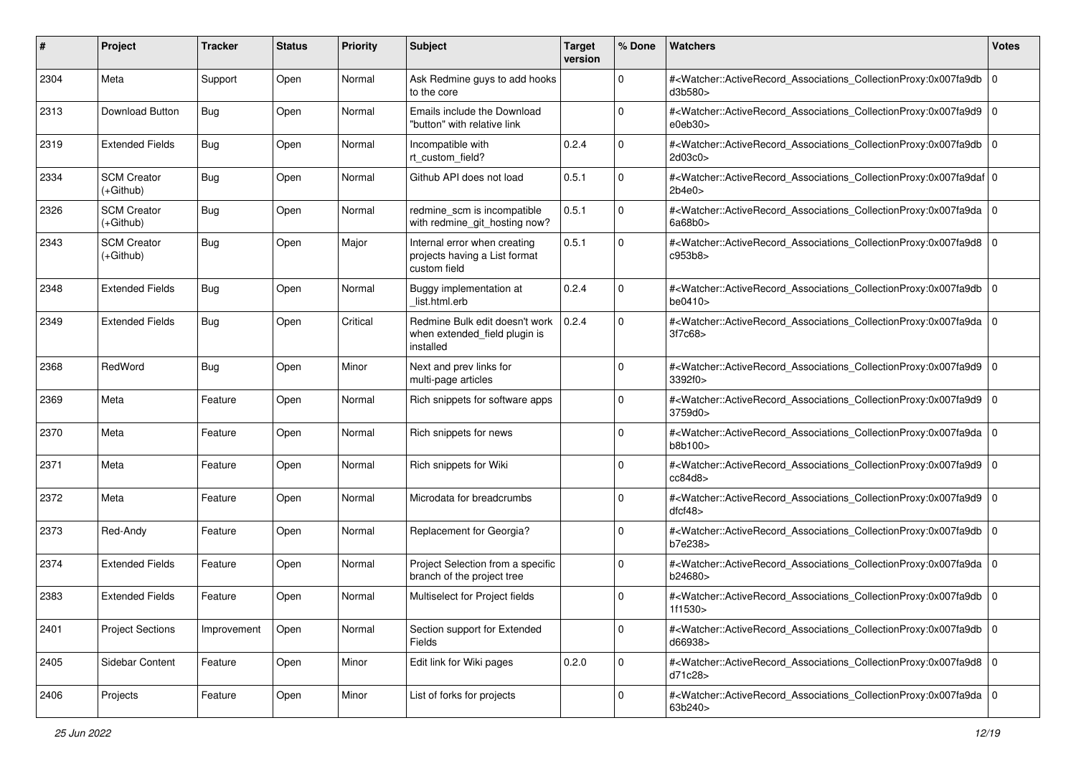| #    | Project                           | <b>Tracker</b> | <b>Status</b> | <b>Priority</b> | <b>Subject</b>                                                                | <b>Target</b><br>version | % Done      | Watchers                                                                                                                                                 | <b>Votes</b> |
|------|-----------------------------------|----------------|---------------|-----------------|-------------------------------------------------------------------------------|--------------------------|-------------|----------------------------------------------------------------------------------------------------------------------------------------------------------|--------------|
| 2304 | Meta                              | Support        | Open          | Normal          | Ask Redmine guys to add hooks<br>to the core                                  |                          | 0           | # <watcher::activerecord_associations_collectionproxy:0x007fa9db<br>d3b580&gt;</watcher::activerecord_associations_collectionproxy:0x007fa9db<br>        | l O          |
| 2313 | Download Button                   | <b>Bug</b>     | Open          | Normal          | Emails include the Download<br>"button" with relative link                    |                          | $\Omega$    | # <watcher::activerecord_associations_collectionproxy:0x007fa9d9 0<br=""  ="">e0eb30&gt;</watcher::activerecord_associations_collectionproxy:0x007fa9d9> |              |
| 2319 | <b>Extended Fields</b>            | <b>Bug</b>     | Open          | Normal          | Incompatible with<br>rt_custom_field?                                         | 0.2.4                    | $\Omega$    | # <watcher::activerecord_associations_collectionproxy:0x007fa9db<br>2d03c0</watcher::activerecord_associations_collectionproxy:0x007fa9db<br>            | l O          |
| 2334 | <b>SCM Creator</b><br>$(+Github)$ | <b>Bug</b>     | Open          | Normal          | Github API does not load                                                      | 0.5.1                    | $\mathbf 0$ | # <watcher::activerecord 0<br="" associations="" collectionproxy:0x007fa9daf="">2b4e0</watcher::activerecord>                                            |              |
| 2326 | <b>SCM Creator</b><br>$(+Github)$ | Bug            | Open          | Normal          | redmine_scm is incompatible<br>with redmine_git_hosting now?                  | 0.5.1                    | $\Omega$    | # <watcher::activerecord 0<br="" associations="" collectionproxy:0x007fa9da="">6a68b0</watcher::activerecord>                                            |              |
| 2343 | <b>SCM Creator</b><br>$(+Github)$ | <b>Bug</b>     | Open          | Major           | Internal error when creating<br>projects having a List format<br>custom field | 0.5.1                    | $\Omega$    | # <watcher::activerecord_associations_collectionproxy:0x007fa9d8 0<br=""  ="">c953b8&gt;</watcher::activerecord_associations_collectionproxy:0x007fa9d8> |              |
| 2348 | <b>Extended Fields</b>            | <b>Bug</b>     | Open          | Normal          | Buggy implementation at<br>list.html.erb                                      | 0.2.4                    | $\Omega$    | # <watcher::activerecord_associations_collectionproxy:0x007fa9db<br>be0410&gt;</watcher::activerecord_associations_collectionproxy:0x007fa9db<br>        | l 0          |
| 2349 | <b>Extended Fields</b>            | <b>Bug</b>     | Open          | Critical        | Redmine Bulk edit doesn't work<br>when extended_field plugin is<br>installed  | 0.2.4                    | $\Omega$    | # <watcher::activerecord_associations_collectionproxy:0x007fa9da<br>3f7c68</watcher::activerecord_associations_collectionproxy:0x007fa9da<br>            | l O          |
| 2368 | RedWord                           | <b>Bug</b>     | Open          | Minor           | Next and prev links for<br>multi-page articles                                |                          | $\Omega$    | # <watcher::activerecord_associations_collectionproxy:0x007fa9d9 0<br=""  ="">3392f0&gt;</watcher::activerecord_associations_collectionproxy:0x007fa9d9> |              |
| 2369 | Meta                              | Feature        | Open          | Normal          | Rich snippets for software apps                                               |                          | $\mathbf 0$ | # <watcher::activerecord_associations_collectionproxy:0x007fa9d9<br>3759d0&gt;</watcher::activerecord_associations_collectionproxy:0x007fa9d9<br>        | l O          |
| 2370 | Meta                              | Feature        | Open          | Normal          | Rich snippets for news                                                        |                          | $\Omega$    | # <watcher::activerecord_associations_collectionproxy:0x007fa9da<br>b8b100&gt;</watcher::activerecord_associations_collectionproxy:0x007fa9da<br>        | l O          |
| 2371 | Meta                              | Feature        | Open          | Normal          | Rich snippets for Wiki                                                        |                          | $\Omega$    | # <watcher::activerecord_associations_collectionproxy:0x007fa9d9 0<br=""  ="">cc84d8</watcher::activerecord_associations_collectionproxy:0x007fa9d9>     |              |
| 2372 | Meta                              | Feature        | Open          | Normal          | Microdata for breadcrumbs                                                     |                          | $\Omega$    | # <watcher::activerecord_associations_collectionproxy:0x007fa9d9 0<br="">dfcf48</watcher::activerecord_associations_collectionproxy:0x007fa9d9>          |              |
| 2373 | Red-Andy                          | Feature        | Open          | Normal          | Replacement for Georgia?                                                      |                          | $\mathbf 0$ | # <watcher::activerecord_associations_collectionproxy:0x007fa9db<br>b7e238&gt;</watcher::activerecord_associations_collectionproxy:0x007fa9db<br>        | 10           |
| 2374 | <b>Extended Fields</b>            | Feature        | Open          | Normal          | Project Selection from a specific<br>branch of the project tree               |                          | $\Omega$    | # <watcher::activerecord_associations_collectionproxy:0x007fa9da<br>b24680&gt;</watcher::activerecord_associations_collectionproxy:0x007fa9da<br>        | l O          |
| 2383 | <b>Extended Fields</b>            | Feature        | Open          | Normal          | Multiselect for Project fields                                                |                          | $\Omega$    | # <watcher::activerecord_associations_collectionproxy:0x007fa9db 0<br=""  ="">1f1530&gt;</watcher::activerecord_associations_collectionproxy:0x007fa9db> |              |
| 2401 | <b>Project Sections</b>           | Improvement    | Open          | Normal          | Section support for Extended<br>Fields                                        |                          | $\mathbf 0$ | # <watcher::activerecord_associations_collectionproxy:0x007fa9db 0<br=""  ="">d66938&gt;</watcher::activerecord_associations_collectionproxy:0x007fa9db> |              |
| 2405 | Sidebar Content                   | Feature        | Open          | Minor           | Edit link for Wiki pages                                                      | 0.2.0                    | $\mathbf 0$ | # <watcher::activerecord_associations_collectionproxy:0x007fa9d8 0<br="">d71c28&gt;</watcher::activerecord_associations_collectionproxy:0x007fa9d8>      |              |
| 2406 | Projects                          | Feature        | Open          | Minor           | List of forks for projects                                                    |                          | $\Omega$    | # <watcher::activerecord 0<br="" associations="" collectionproxy:0x007fa9da="">63b240&gt;</watcher::activerecord>                                        |              |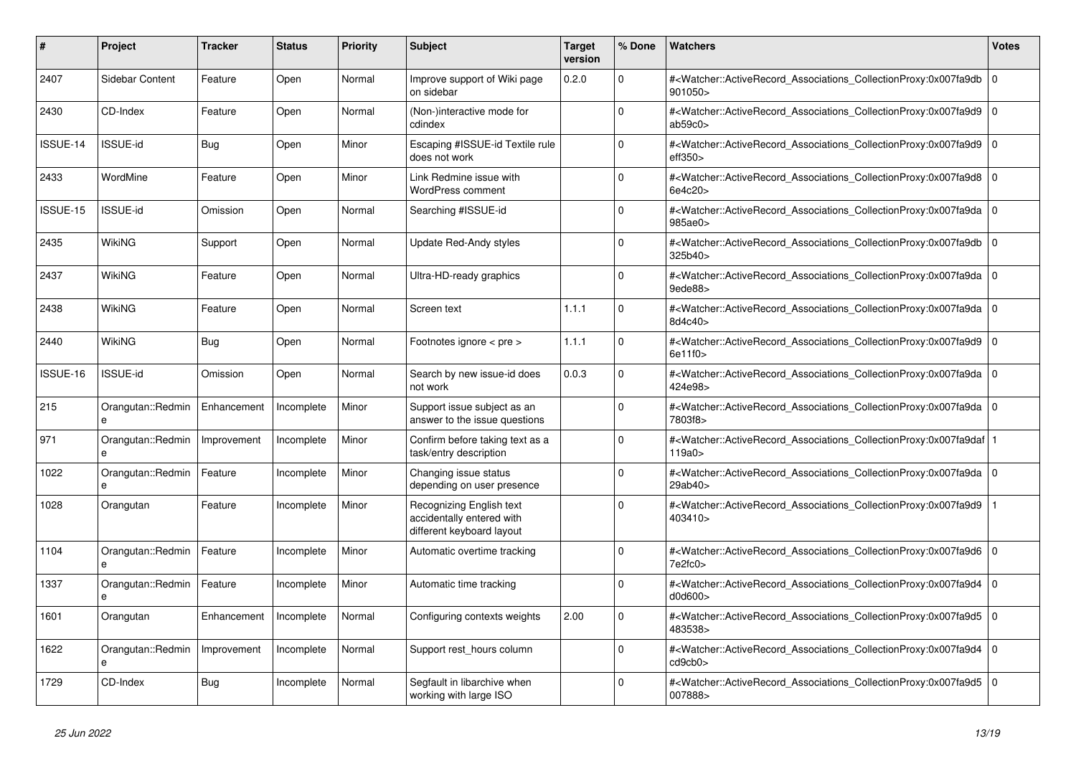| #        | <b>Project</b>         | <b>Tracker</b> | <b>Status</b> | <b>Priority</b> | <b>Subject</b>                                                                            | <b>Target</b><br>version | % Done      | <b>Watchers</b>                                                                                                                                                | <b>Votes</b> |
|----------|------------------------|----------------|---------------|-----------------|-------------------------------------------------------------------------------------------|--------------------------|-------------|----------------------------------------------------------------------------------------------------------------------------------------------------------------|--------------|
| 2407     | Sidebar Content        | Feature        | Open          | Normal          | Improve support of Wiki page<br>on sidebar                                                | 0.2.0                    | $\Omega$    | # <watcher::activerecord_associations_collectionproxy:0x007fa9db<br>901050&gt;</watcher::activerecord_associations_collectionproxy:0x007fa9db<br>              | $\mathbf 0$  |
| 2430     | CD-Index               | Feature        | Open          | Normal          | (Non-)interactive mode for<br>cdindex                                                     |                          | $\Omega$    | # <watcher::activerecord associations="" collectionproxy:0x007fa9d9<br="">ab59c0</watcher::activerecord>                                                       | $\Omega$     |
| ISSUE-14 | <b>ISSUE-id</b>        | <b>Bug</b>     | Open          | Minor           | Escaping #ISSUE-id Textile rule<br>does not work                                          |                          | $\Omega$    | # <watcher::activerecord_associations_collectionproxy:0x007fa9d9 0<br="">eff350<sub>&gt;</sub></watcher::activerecord_associations_collectionproxy:0x007fa9d9> |              |
| 2433     | WordMine               | Feature        | Open          | Minor           | Link Redmine issue with<br><b>WordPress comment</b>                                       |                          | $\Omega$    | # <watcher::activerecord_associations_collectionproxy:0x007fa9d8  <br="">6e4c20</watcher::activerecord_associations_collectionproxy:0x007fa9d8>                | $\mathbf 0$  |
| ISSUE-15 | <b>ISSUE-id</b>        | Omission       | Open          | Normal          | Searching #ISSUE-id                                                                       |                          | $\Omega$    | # <watcher::activerecord associations="" collectionproxy:0x007fa9da=""  <br="">985ae0&gt;</watcher::activerecord>                                              | $\Omega$     |
| 2435     | WikiNG                 | Support        | Open          | Normal          | Update Red-Andy styles                                                                    |                          | $\Omega$    | # <watcher::activerecord 0<br="" associations="" collectionproxy:0x007fa9db=""  ="">325b40&gt;</watcher::activerecord>                                         |              |
| 2437     | <b>WikiNG</b>          | Feature        | Open          | Normal          | Ultra-HD-ready graphics                                                                   |                          | $\Omega$    | # <watcher::activerecord associations="" collectionproxy:0x007fa9da<br=""><math>9</math>ede<math>88</math></watcher::activerecord>                             | $\mathbf 0$  |
| 2438     | WikiNG                 | Feature        | Open          | Normal          | Screen text                                                                               | 1.1.1                    | $\Omega$    | # <watcher::activerecord_associations_collectionproxy:0x007fa9da 0<br=""  ="">8d4c40&gt;</watcher::activerecord_associations_collectionproxy:0x007fa9da>       |              |
| 2440     | WikiNG                 | Bug            | Open          | Normal          | Footnotes ignore < pre >                                                                  | 1.1.1                    | $\Omega$    | # <watcher::activerecord_associations_collectionproxy:0x007fa9d9 0<br=""  ="">6e11f0</watcher::activerecord_associations_collectionproxy:0x007fa9d9>           |              |
| ISSUE-16 | ISSUE-id               | Omission       | Open          | Normal          | Search by new issue-id does<br>not work                                                   | 0.0.3                    | $\Omega$    | # <watcher::activerecord associations="" collectionproxy:0x007fa9da=""  <br="">424e98&gt;</watcher::activerecord>                                              | $\mathbf 0$  |
| 215      | Orangutan::Redmin<br>e | Enhancement    | Incomplete    | Minor           | Support issue subject as an<br>answer to the issue questions                              |                          | $\Omega$    | # <watcher::activerecord_associations_collectionproxy:0x007fa9da 0<br="">7803f8&gt;</watcher::activerecord_associations_collectionproxy:0x007fa9da>            |              |
| 971      | Orangutan::Redmin      | Improvement    | Incomplete    | Minor           | Confirm before taking text as a<br>task/entry description                                 |                          | $\Omega$    | # <watcher::activerecord 1<br="" associations="" collectionproxy:0x007fa9daf=""  ="">119a0 &gt;</watcher::activerecord>                                        |              |
| 1022     | Orangutan::Redmin      | Feature        | Incomplete    | Minor           | Changing issue status<br>depending on user presence                                       |                          | $\Omega$    | # <watcher::activerecord associations="" collectionproxy:0x007fa9da=""  <br="">29ab40&gt;</watcher::activerecord>                                              | $\mathbf 0$  |
| 1028     | Orangutan              | Feature        | Incomplete    | Minor           | <b>Recognizing English text</b><br>accidentally entered with<br>different keyboard layout |                          | $\Omega$    | # <watcher::activerecord_associations_collectionproxy:0x007fa9d9<br>403410&gt;</watcher::activerecord_associations_collectionproxy:0x007fa9d9<br>              |              |
| 1104     | Orangutan::Redmin<br>e | Feature        | Incomplete    | Minor           | Automatic overtime tracking                                                               |                          | $\mathbf 0$ | # <watcher::activerecord_associations_collectionproxy:0x007fa9d6 0<br=""  ="">7e2fc0&gt;</watcher::activerecord_associations_collectionproxy:0x007fa9d6>       |              |
| 1337     | Orangutan::Redmin<br>e | Feature        | Incomplete    | Minor           | Automatic time tracking                                                                   |                          | $\Omega$    | # <watcher::activerecord_associations_collectionproxy:0x007fa9d4<br>d0d600&gt;</watcher::activerecord_associations_collectionproxy:0x007fa9d4<br>              | $\Omega$     |
| 1601     | Orangutan              | Enhancement    | Incomplete    | Normal          | Configuring contexts weights                                                              | 2.00                     | $\Omega$    | # <watcher::activerecord 0<br="" associations="" collectionproxy:0x007fa9d5=""  ="">483538&gt;</watcher::activerecord>                                         |              |
| 1622     | Orangutan::Redmin<br>e | Improvement    | Incomplete    | Normal          | Support rest hours column                                                                 |                          | $\Omega$    | # <watcher::activerecord_associations_collectionproxy:0x007fa9d4<br>cd9cb0&gt;</watcher::activerecord_associations_collectionproxy:0x007fa9d4<br>              | $\mathbf 0$  |
| 1729     | CD-Index               | <b>Bug</b>     | Incomplete    | Normal          | Segfault in libarchive when<br>working with large ISO                                     |                          | $\Omega$    | # <watcher::activerecord_associations_collectionproxy:0x007fa9d5<br>007888&gt;</watcher::activerecord_associations_collectionproxy:0x007fa9d5<br>              | $\Omega$     |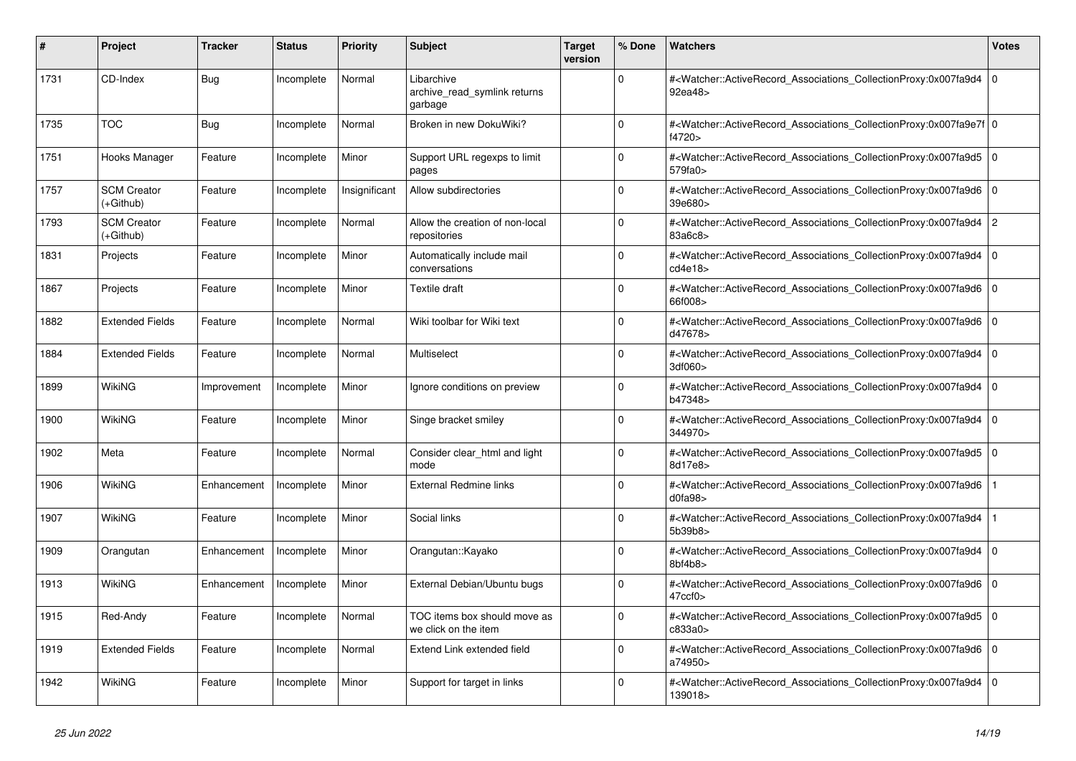| #    | Project                           | <b>Tracker</b> | <b>Status</b> | <b>Priority</b> | <b>Subject</b>                                        | <b>Target</b><br>version | % Done       | <b>Watchers</b>                                                                                                                                           | <b>Votes</b>   |
|------|-----------------------------------|----------------|---------------|-----------------|-------------------------------------------------------|--------------------------|--------------|-----------------------------------------------------------------------------------------------------------------------------------------------------------|----------------|
| 1731 | CD-Index                          | Bug            | Incomplete    | Normal          | Libarchive<br>archive read symlink returns<br>garbage |                          | <sup>0</sup> | # <watcher::activerecord_associations_collectionproxy:0x007fa9d4<br>92ea48&gt;</watcher::activerecord_associations_collectionproxy:0x007fa9d4<br>         | $\overline{0}$ |
| 1735 | <b>TOC</b>                        | <b>Bug</b>     | Incomplete    | Normal          | Broken in new DokuWiki?                               |                          | 0            | # <watcher::activerecord_associations_collectionproxy:0x007fa9e7f 0<br=""  ="">f4720&gt;</watcher::activerecord_associations_collectionproxy:0x007fa9e7f> |                |
| 1751 | Hooks Manager                     | Feature        | Incomplete    | Minor           | Support URL regexps to limit<br>pages                 |                          | $\Omega$     | # <watcher::activerecord_associations_collectionproxy:0x007fa9d5 0<br=""  ="">579fa0</watcher::activerecord_associations_collectionproxy:0x007fa9d5>      |                |
| 1757 | <b>SCM Creator</b><br>(+Github)   | Feature        | Incomplete    | Insignificant   | Allow subdirectories                                  |                          | $\Omega$     | # <watcher::activerecord_associations_collectionproxy:0x007fa9d6 0<br=""  ="">39e680&gt;</watcher::activerecord_associations_collectionproxy:0x007fa9d6>  |                |
| 1793 | <b>SCM Creator</b><br>$(+Github)$ | Feature        | Incomplete    | Normal          | Allow the creation of non-local<br>repositories       |                          | 0            | # <watcher::activerecord_associations_collectionproxy:0x007fa9d4 2<br="">83a6c8&gt;</watcher::activerecord_associations_collectionproxy:0x007fa9d4>       |                |
| 1831 | Projects                          | Feature        | Incomplete    | Minor           | Automatically include mail<br>conversations           |                          | 0            | # <watcher::activerecord associations="" collectionproxy:0x007fa9d4<br="">cd4e18</watcher::activerecord>                                                  | $\overline{0}$ |
| 1867 | Projects                          | Feature        | Incomplete    | Minor           | Textile draft                                         |                          | $\Omega$     | # <watcher::activerecord_associations_collectionproxy:0x007fa9d6 0<br=""  ="">66f008&gt;</watcher::activerecord_associations_collectionproxy:0x007fa9d6>  |                |
| 1882 | <b>Extended Fields</b>            | Feature        | Incomplete    | Normal          | Wiki toolbar for Wiki text                            |                          | <sup>0</sup> | # <watcher::activerecord_associations_collectionproxy:0x007fa9d6 0<br=""  ="">d47678&gt;</watcher::activerecord_associations_collectionproxy:0x007fa9d6>  |                |
| 1884 | <b>Extended Fields</b>            | Feature        | Incomplete    | Normal          | Multiselect                                           |                          | $\Omega$     | # <watcher::activerecord associations="" collectionproxy:0x007fa9d4<br="">3df060&gt;</watcher::activerecord>                                              | $\overline{0}$ |
| 1899 | WikiNG                            | Improvement    | Incomplete    | Minor           | Ignore conditions on preview                          |                          | 0            | # <watcher::activerecord associations="" collectionproxy:0x007fa9d4<br="">b47348&gt;</watcher::activerecord>                                              | $\overline{0}$ |
| 1900 | <b>WikiNG</b>                     | Feature        | Incomplete    | Minor           | Singe bracket smiley                                  |                          | <sup>0</sup> | # <watcher::activerecord_associations_collectionproxy:0x007fa9d4 0<br=""  ="">344970&gt;</watcher::activerecord_associations_collectionproxy:0x007fa9d4>  |                |
| 1902 | Meta                              | Feature        | Incomplete    | Normal          | Consider clear html and light<br>mode                 |                          | $\Omega$     | # <watcher::activerecord associations="" collectionproxy:0x007fa9d5<br="">8d17e8&gt;</watcher::activerecord>                                              | $\overline{0}$ |
| 1906 | <b>WikiNG</b>                     | Enhancement    | Incomplete    | Minor           | <b>External Redmine links</b>                         |                          | 0            | # <watcher::activerecord_associations_collectionproxy:0x007fa9d6<br>d0fa98</watcher::activerecord_associations_collectionproxy:0x007fa9d6<br>             |                |
| 1907 | <b>WikiNG</b>                     | Feature        | Incomplete    | Minor           | Social links                                          |                          | $\Omega$     | # <watcher::activerecord_associations_collectionproxy:0x007fa9d4<br>5b39b8</watcher::activerecord_associations_collectionproxy:0x007fa9d4<br>             |                |
| 1909 | Orangutan                         | Enhancement    | Incomplete    | Minor           | Orangutan::Kayako                                     |                          | 0            | # <watcher::activerecord_associations_collectionproxy:0x007fa9d4<br>8bf4b8&gt;</watcher::activerecord_associations_collectionproxy:0x007fa9d4<br>         | $\overline{0}$ |
| 1913 | <b>WikiNG</b>                     | Enhancement    | Incomplete    | Minor           | External Debian/Ubuntu bugs                           |                          | $\mathbf 0$  | # <watcher::activerecord_associations_collectionproxy:0x007fa9d6 0<br=""  ="">47ccf0&gt;</watcher::activerecord_associations_collectionproxy:0x007fa9d6>  |                |
| 1915 | Red-Andy                          | Feature        | Incomplete    | Normal          | TOC items box should move as<br>we click on the item  |                          | $\Omega$     | # <watcher::activerecord_associations_collectionproxy:0x007fa9d5 0<br=""  ="">c833a0&gt;</watcher::activerecord_associations_collectionproxy:0x007fa9d5>  |                |
| 1919 | <b>Extended Fields</b>            | Feature        | Incomplete    | Normal          | Extend Link extended field                            |                          | 0            | # <watcher::activerecord 0<br="" associations="" collectionproxy:0x007fa9d6=""  ="">a74950&gt;</watcher::activerecord>                                    |                |
| 1942 | <b>WikiNG</b>                     | Feature        | Incomplete    | Minor           | Support for target in links                           |                          | <sup>0</sup> | # <watcher::activerecord_associations_collectionproxy:0x007fa9d4<br>139018&gt;</watcher::activerecord_associations_collectionproxy:0x007fa9d4<br>         | $\overline{0}$ |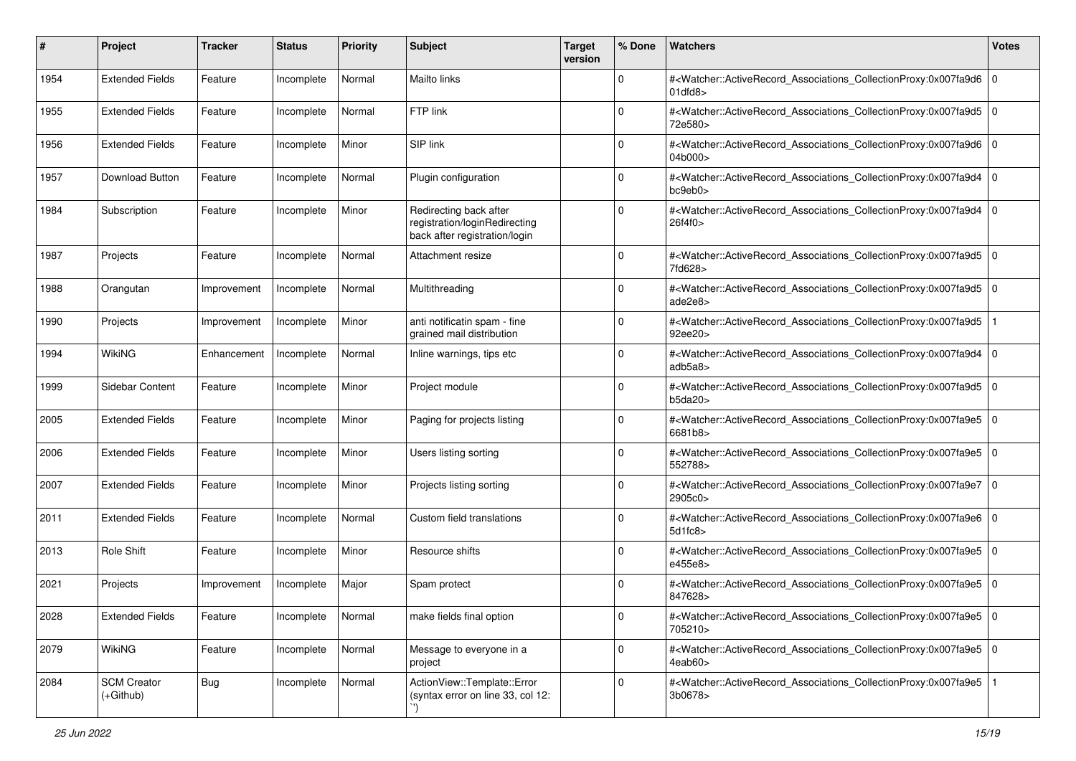| #    | Project                         | Tracker     | <b>Status</b> | <b>Priority</b> | <b>Subject</b>                                                                           | <b>Target</b><br>version | % Done      | Watchers                                                                                                                                                 | <b>Votes</b> |
|------|---------------------------------|-------------|---------------|-----------------|------------------------------------------------------------------------------------------|--------------------------|-------------|----------------------------------------------------------------------------------------------------------------------------------------------------------|--------------|
| 1954 | <b>Extended Fields</b>          | Feature     | Incomplete    | Normal          | <b>Mailto links</b>                                                                      |                          | $\mathbf 0$ | # <watcher::activerecord_associations_collectionproxy:0x007fa9d6<br>01dfd8</watcher::activerecord_associations_collectionproxy:0x007fa9d6<br>            | $\mathbf 0$  |
| 1955 | <b>Extended Fields</b>          | Feature     | Incomplete    | Normal          | FTP link                                                                                 |                          | $\Omega$    | # <watcher::activerecord_associations_collectionproxy:0x007fa9d5 0<br=""  ="">72e580&gt;</watcher::activerecord_associations_collectionproxy:0x007fa9d5> |              |
| 1956 | <b>Extended Fields</b>          | Feature     | Incomplete    | Minor           | SIP link                                                                                 |                          | $\Omega$    | # <watcher::activerecord_associations_collectionproxy:0x007fa9d6 0<br=""  ="">04b000&gt;</watcher::activerecord_associations_collectionproxy:0x007fa9d6> |              |
| 1957 | Download Button                 | Feature     | Incomplete    | Normal          | Plugin configuration                                                                     |                          | $\mathbf 0$ | # <watcher::activerecord_associations_collectionproxy:0x007fa9d4 0<br=""  ="">bc9eb0</watcher::activerecord_associations_collectionproxy:0x007fa9d4>     |              |
| 1984 | Subscription                    | Feature     | Incomplete    | Minor           | Redirecting back after<br>registration/loginRedirecting<br>back after registration/login |                          | $\Omega$    | # <watcher::activerecord_associations_collectionproxy:0x007fa9d4 0<br=""  ="">26f4f0&gt;</watcher::activerecord_associations_collectionproxy:0x007fa9d4> |              |
| 1987 | Projects                        | Feature     | Incomplete    | Normal          | Attachment resize                                                                        |                          | $\Omega$    | # <watcher::activerecord_associations_collectionproxy:0x007fa9d5 0<br=""  ="">7fd628&gt;</watcher::activerecord_associations_collectionproxy:0x007fa9d5> |              |
| 1988 | Orangutan                       | Improvement | Incomplete    | Normal          | Multithreading                                                                           |                          | $\Omega$    | # <watcher::activerecord_associations_collectionproxy:0x007fa9d5 0<br=""  ="">ade2e8&gt;</watcher::activerecord_associations_collectionproxy:0x007fa9d5> |              |
| 1990 | Projects                        | Improvement | Incomplete    | Minor           | anti notificatin spam - fine<br>grained mail distribution                                |                          | $\Omega$    | # <watcher::activerecord_associations_collectionproxy:0x007fa9d5<br>92ee20&gt;</watcher::activerecord_associations_collectionproxy:0x007fa9d5<br>        |              |
| 1994 | WikiNG                          | Enhancement | Incomplete    | Normal          | Inline warnings, tips etc                                                                |                          | 0           | # <watcher::activerecord_associations_collectionproxy:0x007fa9d4<br>adb5a8&gt;</watcher::activerecord_associations_collectionproxy:0x007fa9d4<br>        | $\mathbf 0$  |
| 1999 | Sidebar Content                 | Feature     | Incomplete    | Minor           | Project module                                                                           |                          | $\Omega$    | # <watcher::activerecord_associations_collectionproxy:0x007fa9d5 0<br=""  ="">b5da20</watcher::activerecord_associations_collectionproxy:0x007fa9d5>     |              |
| 2005 | <b>Extended Fields</b>          | Feature     | Incomplete    | Minor           | Paging for projects listing                                                              |                          | $\Omega$    | # <watcher::activerecord_associations_collectionproxy:0x007fa9e5 0<br=""  ="">6681b8&gt;</watcher::activerecord_associations_collectionproxy:0x007fa9e5> |              |
| 2006 | <b>Extended Fields</b>          | Feature     | Incomplete    | Minor           | Users listing sorting                                                                    |                          | $\Omega$    | # <watcher::activerecord_associations_collectionproxy:0x007fa9e5 0<br=""  ="">552788&gt;</watcher::activerecord_associations_collectionproxy:0x007fa9e5> |              |
| 2007 | <b>Extended Fields</b>          | Feature     | Incomplete    | Minor           | Projects listing sorting                                                                 |                          | $\Omega$    | # <watcher::activerecord_associations_collectionproxy:0x007fa9e7 0<br=""  ="">2905c0&gt;</watcher::activerecord_associations_collectionproxy:0x007fa9e7> |              |
| 2011 | <b>Extended Fields</b>          | Feature     | Incomplete    | Normal          | Custom field translations                                                                |                          | $\Omega$    | # <watcher::activerecord_associations_collectionproxy:0x007fa9e6 0<br=""  ="">5d1fc8</watcher::activerecord_associations_collectionproxy:0x007fa9e6>     |              |
| 2013 | Role Shift                      | Feature     | Incomplete    | Minor           | Resource shifts                                                                          |                          | $\Omega$    | # <watcher::activerecord_associations_collectionproxy:0x007fa9e5 0<br="">e455e8&gt;</watcher::activerecord_associations_collectionproxy:0x007fa9e5>      |              |
| 2021 | Projects                        | Improvement | Incomplete    | Major           | Spam protect                                                                             |                          | $\Omega$    | # <watcher::activerecord_associations_collectionproxy:0x007fa9e5 0<br=""  ="">847628&gt;</watcher::activerecord_associations_collectionproxy:0x007fa9e5> |              |
| 2028 | <b>Extended Fields</b>          | Feature     | Incomplete    | Normal          | make fields final option                                                                 |                          | $\mathbf 0$ | # <watcher::activerecord 0<br="" associations="" collectionproxy:0x007fa9e5="">705210&gt;</watcher::activerecord>                                        |              |
| 2079 | <b>WikiNG</b>                   | Feature     | Incomplete    | Normal          | Message to everyone in a<br>project                                                      |                          | $\mathbf 0$ | # <watcher::activerecord_associations_collectionproxy:0x007fa9e5 0<br="">4eab60&gt;</watcher::activerecord_associations_collectionproxy:0x007fa9e5>      |              |
| 2084 | <b>SCM Creator</b><br>(+Github) | <b>Bug</b>  | Incomplete    | Normal          | ActionView::Template::Error<br>(syntax error on line 33, col 12:                         |                          | $\mathbf 0$ | # <watcher::activerecord_associations_collectionproxy:0x007fa9e5<br>3b0678&gt;</watcher::activerecord_associations_collectionproxy:0x007fa9e5<br>        |              |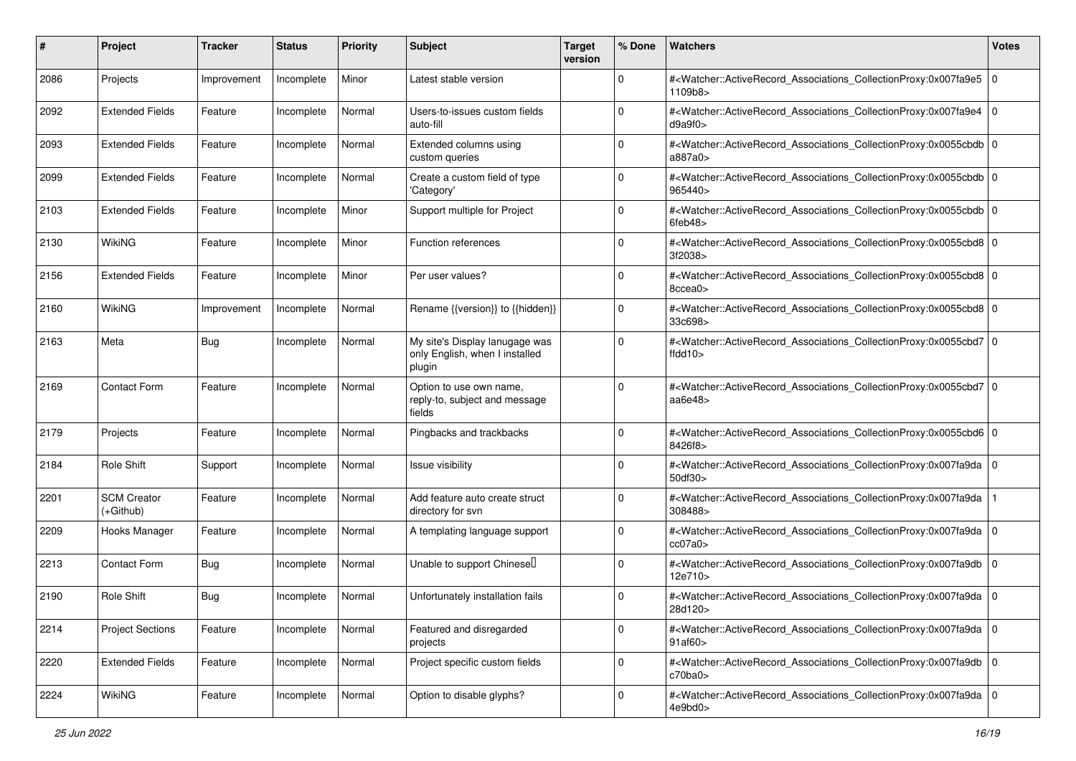| #    | Project                         | <b>Tracker</b> | <b>Status</b> | <b>Priority</b> | <b>Subject</b>                                                             | <b>Target</b><br>version | % Done      | <b>Watchers</b>                                                                                                                                          | <b>Votes</b> |
|------|---------------------------------|----------------|---------------|-----------------|----------------------------------------------------------------------------|--------------------------|-------------|----------------------------------------------------------------------------------------------------------------------------------------------------------|--------------|
| 2086 | Projects                        | Improvement    | Incomplete    | Minor           | Latest stable version                                                      |                          | 0           | # <watcher::activerecord_associations_collectionproxy:0x007fa9e5<br>1109b8&gt;</watcher::activerecord_associations_collectionproxy:0x007fa9e5<br>        | l O          |
| 2092 | <b>Extended Fields</b>          | Feature        | Incomplete    | Normal          | Users-to-issues custom fields<br>auto-fill                                 |                          | 0           | # <watcher::activerecord_associations_collectionproxy:0x007fa9e4<br>d9a9f0&gt;</watcher::activerecord_associations_collectionproxy:0x007fa9e4<br>        | $\mathbf 0$  |
| 2093 | <b>Extended Fields</b>          | Feature        | Incomplete    | Normal          | Extended columns using<br>custom queries                                   |                          | 0           | # <watcher::activerecord_associations_collectionproxy:0x0055cbdb 0<br=""  ="">a887a0&gt;</watcher::activerecord_associations_collectionproxy:0x0055cbdb> |              |
| 2099 | <b>Extended Fields</b>          | Feature        | Incomplete    | Normal          | Create a custom field of type<br>'Category'                                |                          | $\Omega$    | # <watcher::activerecord_associations_collectionproxy:0x0055cbdb 0<br="">965440&gt;</watcher::activerecord_associations_collectionproxy:0x0055cbdb>      |              |
| 2103 | <b>Extended Fields</b>          | Feature        | Incomplete    | Minor           | Support multiple for Project                                               |                          | $\mathbf 0$ | # <watcher::activerecord_associations_collectionproxy:0x0055cbdb 0<br=""  ="">6feb48&gt;</watcher::activerecord_associations_collectionproxy:0x0055cbdb> |              |
| 2130 | WikiNG                          | Feature        | Incomplete    | Minor           | Function references                                                        |                          | $\Omega$    | # <watcher::activerecord_associations_collectionproxy:0x0055cbd8 0<br="">3f2038&gt;</watcher::activerecord_associations_collectionproxy:0x0055cbd8>      |              |
| 2156 | <b>Extended Fields</b>          | Feature        | Incomplete    | Minor           | Per user values?                                                           |                          | $\Omega$    | # <watcher::activerecord_associations_collectionproxy:0x0055cbd8 0<br="">8ccea0&gt;</watcher::activerecord_associations_collectionproxy:0x0055cbd8>      |              |
| 2160 | WikiNG                          | Improvement    | Incomplete    | Normal          | Rename {{version}} to {{hidden}}                                           |                          | $\mathbf 0$ | # <watcher::activerecord_associations_collectionproxy:0x0055cbd8 0<br=""  ="">33c698&gt;</watcher::activerecord_associations_collectionproxy:0x0055cbd8> |              |
| 2163 | Meta                            | <b>Bug</b>     | Incomplete    | Normal          | My site's Display lanugage was<br>only English, when I installed<br>plugin |                          | $\mathbf 0$ | # <watcher::activerecord_associations_collectionproxy:0x0055cbd7 0<br="">ffdd10&gt;</watcher::activerecord_associations_collectionproxy:0x0055cbd7>      |              |
| 2169 | <b>Contact Form</b>             | Feature        | Incomplete    | Normal          | Option to use own name,<br>reply-to, subject and message<br>fields         |                          | $\Omega$    | # <watcher::activerecord_associations_collectionproxy:0x0055cbd7 0<br="">aa6e48&gt;</watcher::activerecord_associations_collectionproxy:0x0055cbd7>      |              |
| 2179 | Projects                        | Feature        | Incomplete    | Normal          | Pingbacks and trackbacks                                                   |                          | $\mathbf 0$ | # <watcher::activerecord_associations_collectionproxy:0x0055cbd6 0<br=""  ="">8426f8&gt;</watcher::activerecord_associations_collectionproxy:0x0055cbd6> |              |
| 2184 | Role Shift                      | Support        | Incomplete    | Normal          | Issue visibility                                                           |                          | $\Omega$    | # <watcher::activerecord_associations_collectionproxy:0x007fa9da 0<br=""  ="">50df30&gt;</watcher::activerecord_associations_collectionproxy:0x007fa9da> |              |
| 2201 | <b>SCM Creator</b><br>(+Github) | Feature        | Incomplete    | Normal          | Add feature auto create struct<br>directory for svn                        |                          | 0           | # <watcher::activerecord_associations_collectionproxy:0x007fa9da<br>308488&gt;</watcher::activerecord_associations_collectionproxy:0x007fa9da<br>        |              |
| 2209 | Hooks Manager                   | Feature        | Incomplete    | Normal          | A templating language support                                              |                          | $\mathbf 0$ | # <watcher::activerecord_associations_collectionproxy:0x007fa9da 0<br=""  ="">cc07a0&gt;</watcher::activerecord_associations_collectionproxy:0x007fa9da> |              |
| 2213 | <b>Contact Form</b>             | <b>Bug</b>     | Incomplete    | Normal          | Unable to support Chinese <sup>[]</sup>                                    |                          | $\Omega$    | # <watcher::activerecord_associations_collectionproxy:0x007fa9db<br>12e710&gt;</watcher::activerecord_associations_collectionproxy:0x007fa9db<br>        | l O          |
| 2190 | Role Shift                      | <b>Bug</b>     | Incomplete    | Normal          | Unfortunately installation fails                                           |                          | 0           | # <watcher::activerecord_associations_collectionproxy:0x007fa9da 0<br=""  ="">28d120&gt;</watcher::activerecord_associations_collectionproxy:0x007fa9da> |              |
| 2214 | <b>Project Sections</b>         | Feature        | Incomplete    | Normal          | Featured and disregarded<br>projects                                       |                          | 0           | # <watcher::activerecord 0<br="" associations="" collectionproxy:0x007fa9da="">91af60&gt;</watcher::activerecord>                                        |              |
| 2220 | <b>Extended Fields</b>          | Feature        | Incomplete    | Normal          | Project specific custom fields                                             |                          | 0           | # <watcher::activerecord 0<br="" associations="" collectionproxy:0x007fa9db="">c70ba0&gt;</watcher::activerecord>                                        |              |
| 2224 | WikiNG                          | Feature        | Incomplete    | Normal          | Option to disable glyphs?                                                  |                          | 0           | # <watcher::activerecord_associations_collectionproxy:0x007fa9da 0<br=""  ="">4e9bd0&gt;</watcher::activerecord_associations_collectionproxy:0x007fa9da> |              |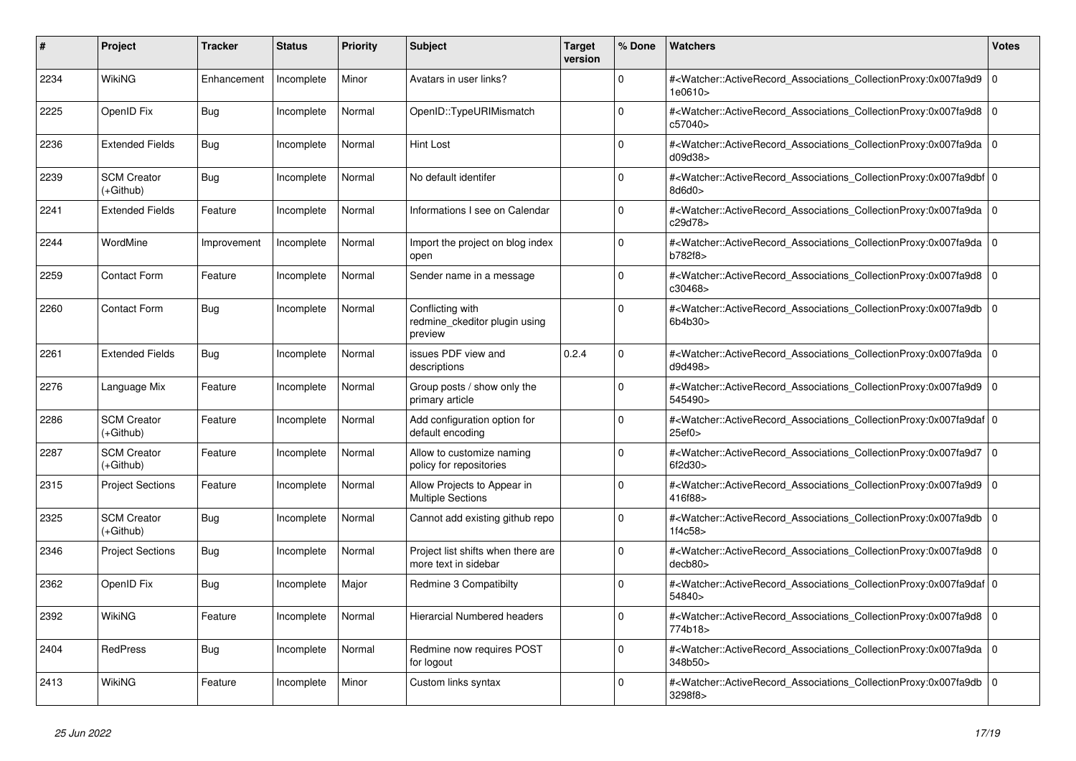| #    | <b>Project</b>                  | <b>Tracker</b> | <b>Status</b> | <b>Priority</b> | <b>Subject</b>                                               | <b>Target</b><br>version | % Done      | <b>Watchers</b>                                                                                                                                           | <b>Votes</b>   |
|------|---------------------------------|----------------|---------------|-----------------|--------------------------------------------------------------|--------------------------|-------------|-----------------------------------------------------------------------------------------------------------------------------------------------------------|----------------|
| 2234 | <b>WikiNG</b>                   | Enhancement    | Incomplete    | Minor           | Avatars in user links?                                       |                          | $\Omega$    | # <watcher::activerecord_associations_collectionproxy:0x007fa9d9<br>1e0610&gt;</watcher::activerecord_associations_collectionproxy:0x007fa9d9<br>         | $\overline{0}$ |
| 2225 | OpenID Fix                      | Bug            | Incomplete    | Normal          | OpenID::TypeURIMismatch                                      |                          | $\Omega$    | # <watcher::activerecord_associations_collectionproxy:0x007fa9d8 0<br="">c57040&gt;</watcher::activerecord_associations_collectionproxy:0x007fa9d8>       |                |
| 2236 | <b>Extended Fields</b>          | <b>Bug</b>     | Incomplete    | Normal          | Hint Lost                                                    |                          | $\mathbf 0$ | # <watcher::activerecord_associations_collectionproxy:0x007fa9da 0<br=""  ="">d09d38</watcher::activerecord_associations_collectionproxy:0x007fa9da>      |                |
| 2239 | <b>SCM Creator</b><br>(+Github) | Bug            | Incomplete    | Normal          | No default identifer                                         |                          | $\Omega$    | # <watcher::activerecord_associations_collectionproxy:0x007fa9dbf 0<br="">8d6d0&gt;</watcher::activerecord_associations_collectionproxy:0x007fa9dbf>      |                |
| 2241 | <b>Extended Fields</b>          | Feature        | Incomplete    | Normal          | Informations I see on Calendar                               |                          | $\mathbf 0$ | # <watcher::activerecord_associations_collectionproxy:0x007fa9da 0<br=""  ="">c29d78&gt;</watcher::activerecord_associations_collectionproxy:0x007fa9da>  |                |
| 2244 | WordMine                        | Improvement    | Incomplete    | Normal          | Import the project on blog index<br>open                     |                          | $\Omega$    | # <watcher::activerecord 0<br="" associations="" collectionproxy:0x007fa9da=""  ="">b782f8&gt;</watcher::activerecord>                                    |                |
| 2259 | <b>Contact Form</b>             | Feature        | Incomplete    | Normal          | Sender name in a message                                     |                          | $\Omega$    | # <watcher::activerecord associations="" collectionproxy:0x007fa9d8<br="">c30468&gt;</watcher::activerecord>                                              | $\Omega$       |
| 2260 | <b>Contact Form</b>             | Bug            | Incomplete    | Normal          | Conflicting with<br>redmine ckeditor plugin using<br>preview |                          | $\Omega$    | # <watcher::activerecord_associations_collectionproxy:0x007fa9db 0<br=""  ="">6b4b30&gt;</watcher::activerecord_associations_collectionproxy:0x007fa9db>  |                |
| 2261 | <b>Extended Fields</b>          | Bug            | Incomplete    | Normal          | issues PDF view and<br>descriptions                          | 0.2.4                    | $\Omega$    | # <watcher::activerecord_associations_collectionproxy:0x007fa9da 0<br=""  ="">d9d498&gt;</watcher::activerecord_associations_collectionproxy:0x007fa9da>  |                |
| 2276 | Language Mix                    | Feature        | Incomplete    | Normal          | Group posts / show only the<br>primary article               |                          | $\Omega$    | # <watcher::activerecord_associations_collectionproxy:0x007fa9d9<br>545490&gt;</watcher::activerecord_associations_collectionproxy:0x007fa9d9<br>         | $\Omega$       |
| 2286 | <b>SCM Creator</b><br>(+Github) | Feature        | Incomplete    | Normal          | Add configuration option for<br>default encoding             |                          | $\Omega$    | # <watcher::activerecord 0<br="" associations="" collectionproxy:0x007fa9daf=""  ="">25ef0</watcher::activerecord>                                        |                |
| 2287 | <b>SCM Creator</b><br>(+Github) | Feature        | Incomplete    | Normal          | Allow to customize naming<br>policy for repositories         |                          | $\Omega$    | # <watcher::activerecord_associations_collectionproxy:0x007fa9d7<br>6f2d30&gt;</watcher::activerecord_associations_collectionproxy:0x007fa9d7<br>         | $\overline{0}$ |
| 2315 | <b>Project Sections</b>         | Feature        | Incomplete    | Normal          | Allow Projects to Appear in<br><b>Multiple Sections</b>      |                          | $\Omega$    | # <watcher::activerecord_associations_collectionproxy:0x007fa9d9<br>416f88&gt;</watcher::activerecord_associations_collectionproxy:0x007fa9d9<br>         | $\Omega$       |
| 2325 | <b>SCM Creator</b><br>(+Github) | Bug            | Incomplete    | Normal          | Cannot add existing github repo                              |                          | $\Omega$    | # <watcher::activerecord_associations_collectionproxy:0x007fa9db 0<br=""  ="">1f4c58</watcher::activerecord_associations_collectionproxy:0x007fa9db>      |                |
| 2346 | <b>Project Sections</b>         | Bug            | Incomplete    | Normal          | Project list shifts when there are<br>more text in sidebar   |                          | $\Omega$    | # <watcher::activerecord_associations_collectionproxy:0x007fa9d8<br>decb80&gt;</watcher::activerecord_associations_collectionproxy:0x007fa9d8<br>         | $\Omega$       |
| 2362 | OpenID Fix                      | Bug            | Incomplete    | Major           | Redmine 3 Compatibilty                                       |                          | $\mathbf 0$ | # <watcher::activerecord_associations_collectionproxy:0x007fa9daf 0<br=""  ="">54840&gt;</watcher::activerecord_associations_collectionproxy:0x007fa9daf> |                |
| 2392 | WikiNG                          | Feature        | Incomplete    | Normal          | <b>Hierarcial Numbered headers</b>                           |                          | $\Omega$    | # <watcher::activerecord_associations_collectionproxy:0x007fa9d8 0<br=""  ="">774b18&gt;</watcher::activerecord_associations_collectionproxy:0x007fa9d8>  |                |
| 2404 | <b>RedPress</b>                 | Bug            | Incomplete    | Normal          | <b>Redmine now requires POST</b><br>for logout               |                          | $\Omega$    | # <watcher::activerecord associations="" collectionproxy:0x007fa9da<br="">348b50&gt;</watcher::activerecord>                                              | l 0            |
| 2413 | WikiNG                          | Feature        | Incomplete    | Minor           | Custom links syntax                                          |                          | $\Omega$    | # <watcher::activerecord_associations_collectionproxy:0x007fa9db<br>3298f8&gt;</watcher::activerecord_associations_collectionproxy:0x007fa9db<br>         | $\overline{0}$ |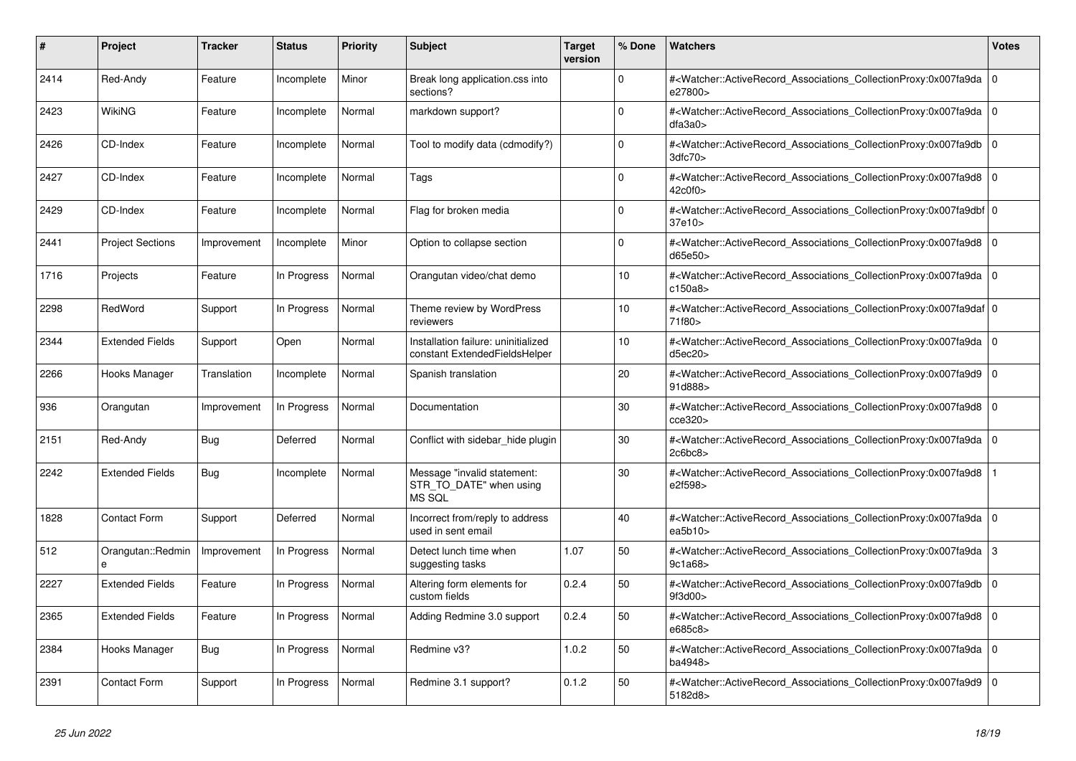| #    | <b>Project</b>          | <b>Tracker</b> | <b>Status</b> | <b>Priority</b> | <b>Subject</b>                                                       | <b>Target</b><br>version | % Done   | <b>Watchers</b>                                                                                                                                                   | <b>Votes</b> |
|------|-------------------------|----------------|---------------|-----------------|----------------------------------------------------------------------|--------------------------|----------|-------------------------------------------------------------------------------------------------------------------------------------------------------------------|--------------|
| 2414 | Red-Andy                | Feature        | Incomplete    | Minor           | Break long application.css into<br>sections?                         |                          | $\Omega$ | # <watcher::activerecord_associations_collectionproxy:0x007fa9da  <br="">e27800&gt;</watcher::activerecord_associations_collectionproxy:0x007fa9da>               | $\mathbf 0$  |
| 2423 | <b>WikiNG</b>           | Feature        | Incomplete    | Normal          | markdown support?                                                    |                          | $\Omega$ | # <watcher::activerecord_associations_collectionproxy:0x007fa9da  <br="">dfa3a0</watcher::activerecord_associations_collectionproxy:0x007fa9da>                   | $\Omega$     |
| 2426 | CD-Index                | Feature        | Incomplete    | Normal          | Tool to modify data (cdmodify?)                                      |                          | $\Omega$ | # <watcher::activerecord_associations_collectionproxy:0x007fa9db 0<br="">3dfc70&gt;</watcher::activerecord_associations_collectionproxy:0x007fa9db>               |              |
| 2427 | CD-Index                | Feature        | Incomplete    | Normal          | Tags                                                                 |                          | $\Omega$ | # <watcher::activerecord_associations_collectionproxy:0x007fa9d8  <br="">42c0f0&gt;</watcher::activerecord_associations_collectionproxy:0x007fa9d8>               | $\mathbf 0$  |
| 2429 | CD-Index                | Feature        | Incomplete    | Normal          | Flag for broken media                                                |                          | $\Omega$ | # <watcher::activerecord_associations_collectionproxy:0x007fa9dbf 0<br=""  ="">37e10&gt;</watcher::activerecord_associations_collectionproxy:0x007fa9dbf>         |              |
| 2441 | <b>Project Sections</b> | Improvement    | Incomplete    | Minor           | Option to collapse section                                           |                          | $\Omega$ | # <watcher::activerecord 0<br="" associations="" collectionproxy:0x007fa9d8=""  ="">d65e50&gt;</watcher::activerecord>                                            |              |
| 1716 | Projects                | Feature        | In Progress   | Normal          | Orangutan video/chat demo                                            |                          | 10       | # <watcher::activerecord associations="" collectionproxy:0x007fa9da<br="">c150a8&gt;</watcher::activerecord>                                                      | $\mathbf 0$  |
| 2298 | RedWord                 | Support        | In Progress   | Normal          | Theme review by WordPress<br>reviewers                               |                          | 10       | # <watcher::activerecord 0<br="" associations="" collectionproxy:0x007fa9daf=""  ="">71f80&gt;</watcher::activerecord>                                            |              |
| 2344 | <b>Extended Fields</b>  | Support        | Open          | Normal          | Installation failure: uninitialized<br>constant ExtendedFieldsHelper |                          | 10       | # <watcher::activerecord_associations_collectionproxy:0x007fa9da 0<br=""  ="">d5ec20&gt;</watcher::activerecord_associations_collectionproxy:0x007fa9da>          |              |
| 2266 | Hooks Manager           | Translation    | Incomplete    | Normal          | Spanish translation                                                  |                          | 20       | # <watcher::activerecord associations="" collectionproxy:0x007fa9d9<br="">91d888&gt;</watcher::activerecord>                                                      | $\mathbf 0$  |
| 936  | Orangutan               | Improvement    | In Progress   | Normal          | Documentation                                                        |                          | 30       | # <watcher::activerecord_associations_collectionproxy:0x007fa9d8  <br="">cce320&gt;</watcher::activerecord_associations_collectionproxy:0x007fa9d8>               | $\Omega$     |
| 2151 | Red-Andy                | Bug            | Deferred      | Normal          | Conflict with sidebar hide plugin                                    |                          | 30       | # <watcher::activerecord 0<br="" associations="" collectionproxy:0x007fa9da=""  ="">2c6bc8</watcher::activerecord>                                                |              |
| 2242 | <b>Extended Fields</b>  | Bug            | Incomplete    | Normal          | Message "invalid statement:<br>STR_TO_DATE" when using<br>MS SQL     |                          | 30       | # <watcher::activerecord associations="" collectionproxy:0x007fa9d8<br="">e2f598&gt;</watcher::activerecord>                                                      |              |
| 1828 | <b>Contact Form</b>     | Support        | Deferred      | Normal          | Incorrect from/reply to address<br>used in sent email                |                          | 40       | # <watcher::activerecord_associations_collectionproxy:0x007fa9da 0<br=""  ="">ea<math>5b10</math></watcher::activerecord_associations_collectionproxy:0x007fa9da> |              |
| 512  | Orangutan::Redmin<br>e  | Improvement    | In Progress   | Normal          | Detect lunch time when<br>suggesting tasks                           | 1.07                     | 50       | # <watcher::activerecord_associations_collectionproxy:0x007fa9da  <br="">9c1a68&gt;</watcher::activerecord_associations_collectionproxy:0x007fa9da>               | 3            |
| 2227 | <b>Extended Fields</b>  | Feature        | In Progress   | Normal          | Altering form elements for<br>custom fields                          | 0.2.4                    | 50       | # <watcher::activerecord_associations_collectionproxy:0x007fa9db<br>9f3d00&gt;</watcher::activerecord_associations_collectionproxy:0x007fa9db<br>                 | $\Omega$     |
| 2365 | <b>Extended Fields</b>  | Feature        | In Progress   | Normal          | Adding Redmine 3.0 support                                           | 0.2.4                    | 50       | # <watcher::activerecord associations="" collectionproxy:0x007fa9d8=""  <br="">e685c8&gt;</watcher::activerecord>                                                 | $\mathbf 0$  |
| 2384 | Hooks Manager           | Bug            | In Progress   | Normal          | Redmine v3?                                                          | 1.0.2                    | 50       | # <watcher::activerecord_associations_collectionproxy:0x007fa9da  <br="">ba4948&gt;</watcher::activerecord_associations_collectionproxy:0x007fa9da>               | $\mathbf 0$  |
| 2391 | <b>Contact Form</b>     | Support        | In Progress   | Normal          | Redmine 3.1 support?                                                 | 0.1.2                    | 50       | # <watcher::activerecord_associations_collectionproxy:0x007fa9d9<br>5182d8&gt;</watcher::activerecord_associations_collectionproxy:0x007fa9d9<br>                 | $\Omega$     |